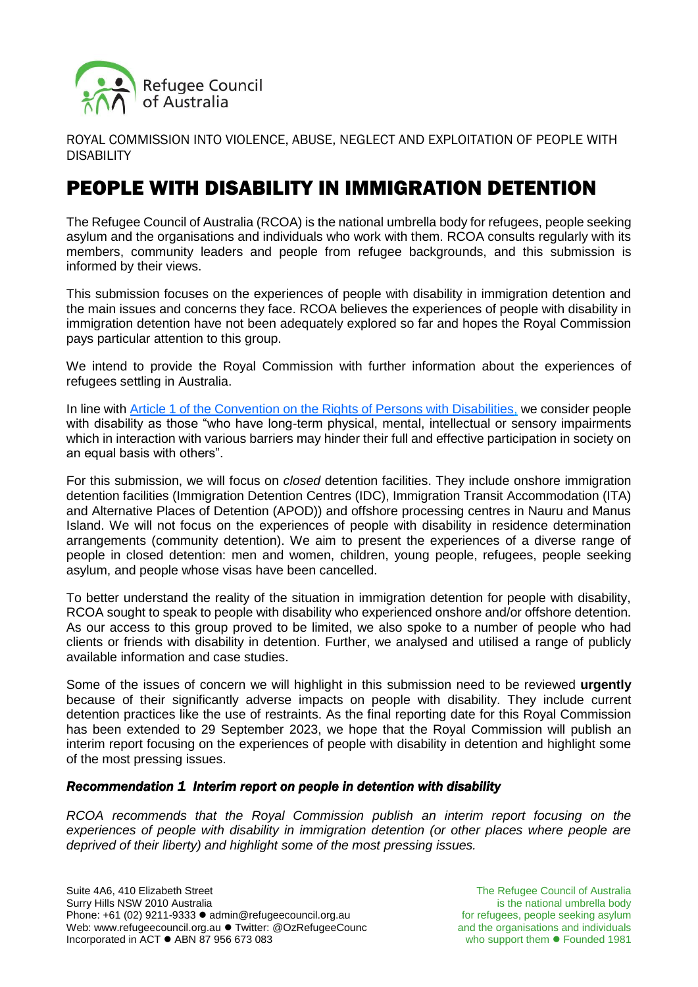

ROYAL COMMISSION INTO VIOLENCE, ABUSE, NEGLECT AND EXPLOITATION OF PEOPLE WITH DISABILITY

# PEOPLE WITH DISABILITY IN IMMIGRATION DETENTION

The Refugee Council of Australia (RCOA) is the national umbrella body for refugees, people seeking asylum and the organisations and individuals who work with them. RCOA consults regularly with its members, community leaders and people from refugee backgrounds, and this submission is informed by their views.

This submission focuses on the experiences of people with disability in immigration detention and the main issues and concerns they face. RCOA believes the experiences of people with disability in immigration detention have not been adequately explored so far and hopes the Royal Commission pays particular attention to this group.

We intend to provide the Royal Commission with further information about the experiences of refugees settling in Australia.

In line with [Article 1 of the Convention on the Rights of Persons with Disabilities,](https://www.ohchr.org/EN/HRBodies/CRPD/Pages/ConventionRightsPersonsWithDisabilities.aspx#1) we consider people with disability as those "who have long-term physical, mental, intellectual or sensory impairments which in interaction with various barriers may hinder their full and effective participation in society on an equal basis with others".

For this submission, we will focus on *closed* detention facilities. They include onshore immigration detention facilities (Immigration Detention Centres (IDC), Immigration Transit Accommodation (ITA) and Alternative Places of Detention (APOD)) and offshore processing centres in Nauru and Manus Island. We will not focus on the experiences of people with disability in residence determination arrangements (community detention). We aim to present the experiences of a diverse range of people in closed detention: men and women, children, young people, refugees, people seeking asylum, and people whose visas have been cancelled.

To better understand the reality of the situation in immigration detention for people with disability, RCOA sought to speak to people with disability who experienced onshore and/or offshore detention. As our access to this group proved to be limited, we also spoke to a number of people who had clients or friends with disability in detention. Further, we analysed and utilised a range of publicly available information and case studies.

Some of the issues of concern we will highlight in this submission need to be reviewed **urgently** because of their significantly adverse impacts on people with disability. They include current detention practices like the use of restraints. As the final reporting date for this Royal Commission has been extended to 29 September 2023, we hope that the Royal Commission will publish an interim report focusing on the experiences of people with disability in detention and highlight some of the most pressing issues.

## *Recommendation 1 Interim report on people in detention with disability*

*RCOA recommends that the Royal Commission publish an interim report focusing on the*  experiences of people with disability in immigration detention (or other places where people are *deprived of their liberty) and highlight some of the most pressing issues.*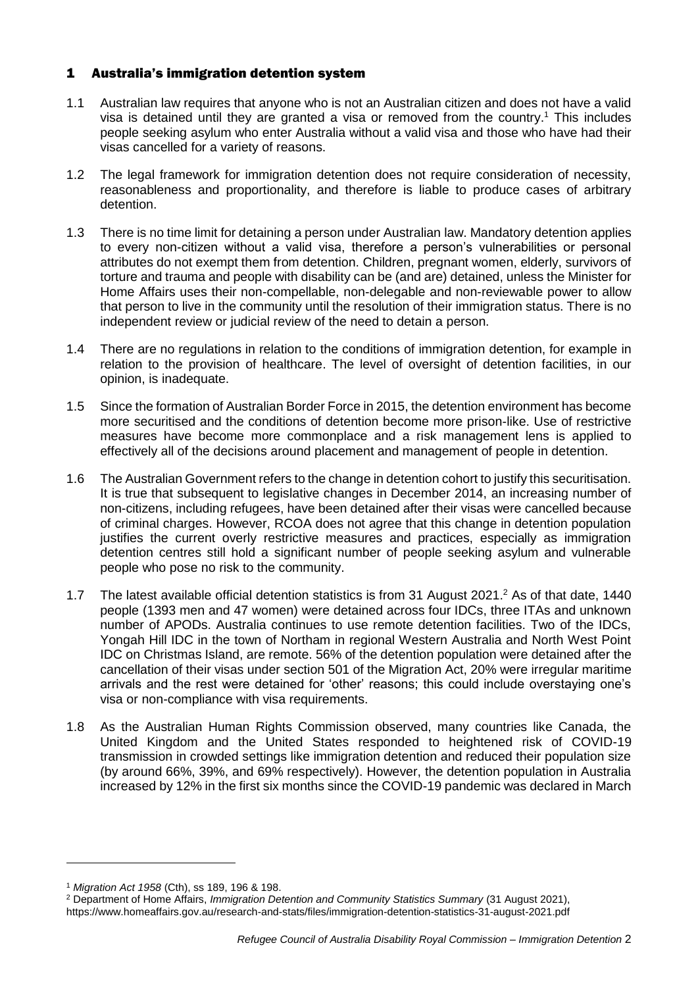## 1 Australia's immigration detention system

- 1.1 Australian law requires that anyone who is not an Australian citizen and does not have a valid visa is detained until they are granted a visa or removed from the country.<sup>1</sup> This includes people seeking asylum who enter Australia without a valid visa and those who have had their visas cancelled for a variety of reasons.
- 1.2 The legal framework for immigration detention does not require consideration of necessity, reasonableness and proportionality, and therefore is liable to produce cases of arbitrary detention.
- 1.3 There is no time limit for detaining a person under Australian law. Mandatory detention applies to every non-citizen without a valid visa, therefore a person's vulnerabilities or personal attributes do not exempt them from detention. Children, pregnant women, elderly, survivors of torture and trauma and people with disability can be (and are) detained, unless the Minister for Home Affairs uses their non-compellable, non-delegable and non-reviewable power to allow that person to live in the community until the resolution of their immigration status. There is no independent review or judicial review of the need to detain a person.
- 1.4 There are no regulations in relation to the conditions of immigration detention, for example in relation to the provision of healthcare. The level of oversight of detention facilities, in our opinion, is inadequate.
- 1.5 Since the formation of Australian Border Force in 2015, the detention environment has become more securitised and the conditions of detention become more prison-like. Use of restrictive measures have become more commonplace and a risk management lens is applied to effectively all of the decisions around placement and management of people in detention.
- 1.6 The Australian Government refers to the change in detention cohort to justify this securitisation. It is true that subsequent to legislative changes in December 2014, an increasing number of non-citizens, including refugees, have been detained after their visas were cancelled because of criminal charges. However, RCOA does not agree that this change in detention population justifies the current overly restrictive measures and practices, especially as immigration detention centres still hold a significant number of people seeking asylum and vulnerable people who pose no risk to the community.
- 1.7 The latest available official detention statistics is from 31 August 2021.<sup>2</sup> As of that date, 1440 people (1393 men and 47 women) were detained across four IDCs, three ITAs and unknown number of APODs. Australia continues to use remote detention facilities. Two of the IDCs, Yongah Hill IDC in the town of Northam in regional Western Australia and North West Point IDC on Christmas Island, are remote. 56% of the detention population were detained after the cancellation of their visas under section 501 of the Migration Act, 20% were irregular maritime arrivals and the rest were detained for 'other' reasons; this could include overstaying one's visa or non-compliance with visa requirements.
- 1.8 As the Australian Human Rights Commission observed, many countries like Canada, the United Kingdom and the United States responded to heightened risk of COVID-19 transmission in crowded settings like immigration detention and reduced their population size (by around 66%, 39%, and 69% respectively). However, the detention population in Australia increased by 12% in the first six months since the COVID-19 pandemic was declared in March

<sup>1</sup> *Migration Act 1958* (Cth), ss 189, 196 & 198.

<sup>2</sup> Department of Home Affairs, *Immigration Detention and Community Statistics Summary* (31 August 2021),

<https://www.homeaffairs.gov.au/research-and-stats/files/immigration-detention-statistics-31-august-2021.pdf>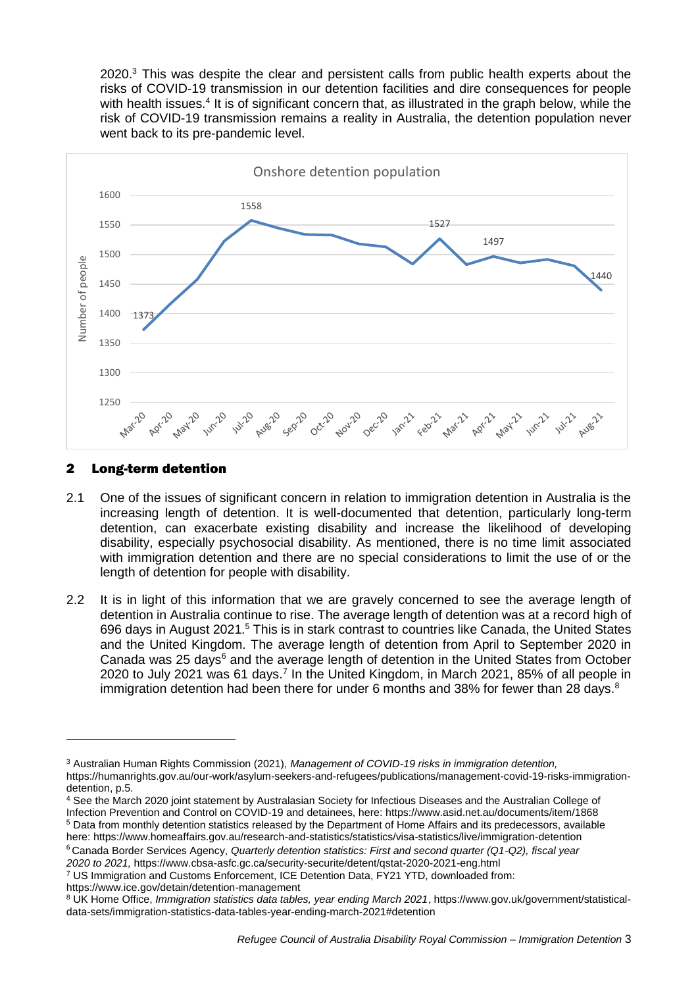2020.<sup>3</sup> This was despite the clear and persistent calls from public health experts about the risks of COVID-19 transmission in our detention facilities and dire consequences for people with health issues.<sup>4</sup> It is of significant concern that, as illustrated in the graph below, while the risk of COVID-19 transmission remains a reality in Australia, the detention population never went back to its pre-pandemic level.



## 2 Long-term detention

-

- 2.1 One of the issues of significant concern in relation to immigration detention in Australia is the increasing length of detention. It is well-documented that detention, particularly long-term detention, can exacerbate existing disability and increase the likelihood of developing disability, especially psychosocial disability. As mentioned, there is no time limit associated with immigration detention and there are no special considerations to limit the use of or the length of detention for people with disability.
- 2.2 It is in light of this information that we are gravely concerned to see the average length of detention in Australia continue to rise. The average length of detention was at a record high of 696 days in August 2021.<sup>5</sup> This is in stark contrast to countries like Canada, the United States and the United Kingdom. The average length of detention from April to September 2020 in Canada was 25 days<sup>6</sup> and the average length of detention in the United States from October 2020 to July 2021 was 61 days.<sup>7</sup> In the United Kingdom, in March 2021, 85% of all people in immigration detention had been there for under 6 months and 38% for fewer than 28 days. $8$

<https://www.ice.gov/detain/detention-management>

<sup>3</sup> Australian Human Rights Commission (2021), *Management of COVID-19 risks in immigration detention,*  [https://humanrights.gov.au/our-work/asylum-seekers-and-refugees/publications/management-covid-19-risks-immigration](https://humanrights.gov.au/our-work/asylum-seekers-and-refugees/publications/management-covid-19-risks-immigration-detention)[detention,](https://humanrights.gov.au/our-work/asylum-seekers-and-refugees/publications/management-covid-19-risks-immigration-detention) p.5.

<sup>4</sup> See the March 2020 joint statement by Australasian Society for Infectious Diseases and the Australian College of Infection Prevention and Control on COVID-19 and detainees, here:<https://www.asid.net.au/documents/item/1868> <sup>5</sup> Data from monthly detention statistics released by the Department of Home Affairs and its predecessors, available here[: https://www.homeaffairs.gov.au/research-and-statistics/statistics/visa-statistics/live/immigration-detention](https://www.homeaffairs.gov.au/research-and-statistics/statistics/visa-statistics/live/immigration-detention)

<sup>6</sup> Canada Border Services Agency, *Quarterly detention statistics: First and second quarter (Q1-Q2), fiscal year 2020 to 2021,* <https://www.cbsa-asfc.gc.ca/security-securite/detent/qstat-2020-2021-eng.html>

<sup>7</sup> US Immigration and Customs Enforcement, ICE Detention Data, FY21 YTD, downloaded from:

<sup>8</sup> UK Home Office, *Immigration statistics data tables, year ending March 2021*, [https://www.gov.uk/government/statistical](https://www.gov.uk/government/statistical-data-sets/immigration-statistics-data-tables-year-ending-march-2021#detention)[data-sets/immigration-statistics-data-tables-year-ending-march-2021#detention](https://www.gov.uk/government/statistical-data-sets/immigration-statistics-data-tables-year-ending-march-2021#detention)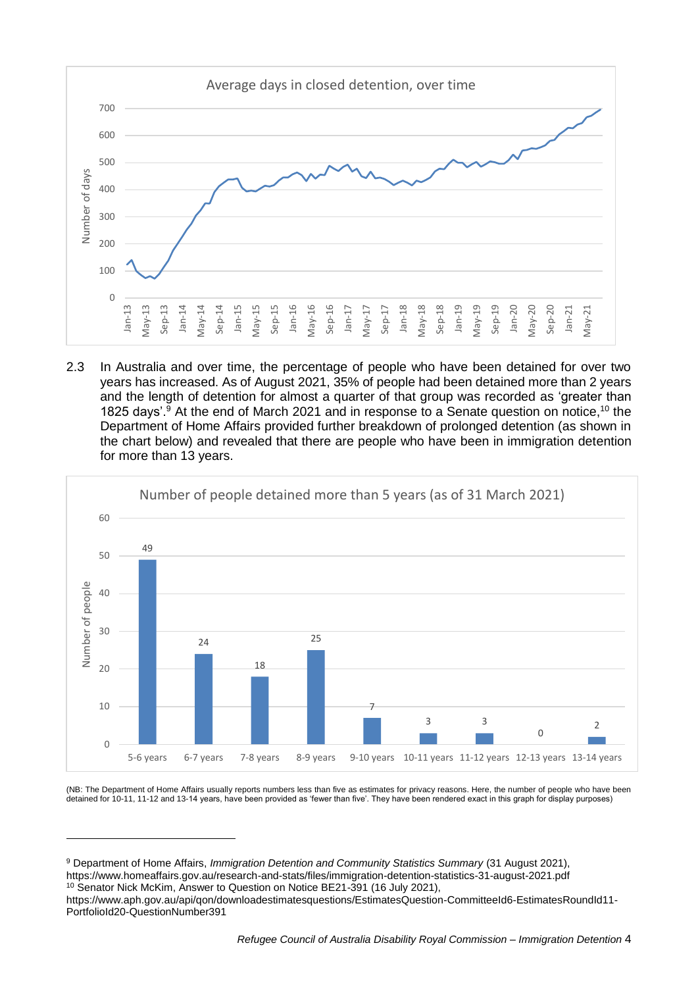

2.3 In Australia and over time, the percentage of people who have been detained for over two years has increased. As of August 2021, 35% of people had been detained more than 2 years and the length of detention for almost a quarter of that group was recorded as 'greater than 1825 days'.<sup>9</sup> At the end of March 2021 and in response to a Senate question on notice, <sup>10</sup> the Department of Home Affairs provided further breakdown of prolonged detention (as shown in the chart below) and revealed that there are people who have been in immigration detention for more than 13 years.



(NB: The Department of Home Affairs usually reports numbers less than five as estimates for privacy reasons. Here, the number of people who have been detained for 10-11, 11-12 and 13-14 years, have been provided as 'fewer than five'. They have been rendered exact in this graph for display purposes)

<sup>9</sup> Department of Home Affairs, *Immigration Detention and Community Statistics Summary* (31 August 2021), <https://www.homeaffairs.gov.au/research-and-stats/files/immigration-detention-statistics-31-august-2021.pdf> <sup>10</sup> Senator Nick McKim, Answer to Question on Notice BE21-391 (16 July 2021),

[https://www.aph.gov.au/api/qon/downloadestimatesquestions/EstimatesQuestion-CommitteeId6-EstimatesRoundId11-](https://www.aph.gov.au/api/qon/downloadestimatesquestions/EstimatesQuestion-CommitteeId6-EstimatesRoundId11-PortfolioId20-QuestionNumber391) [PortfolioId20-QuestionNumber391](https://www.aph.gov.au/api/qon/downloadestimatesquestions/EstimatesQuestion-CommitteeId6-EstimatesRoundId11-PortfolioId20-QuestionNumber391)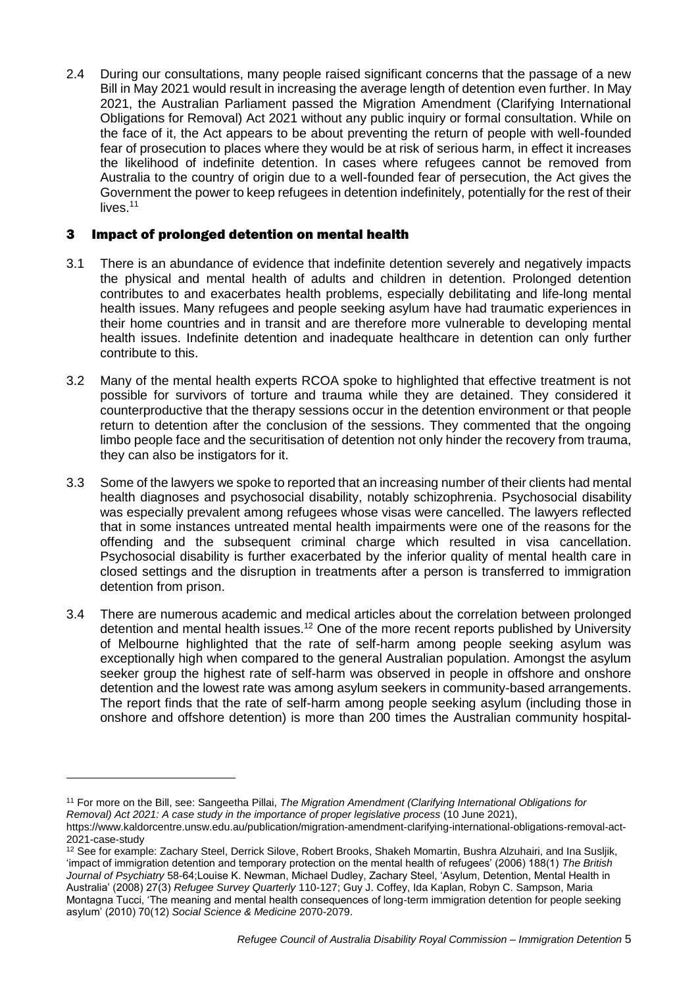2.4 During our consultations, many people raised significant concerns that the passage of a new Bill in May 2021 would result in increasing the average length of detention even further. In May 2021, the Australian Parliament passed the Migration Amendment (Clarifying International Obligations for Removal) Act 2021 without any public inquiry or formal consultation. While on the face of it, the Act appears to be about preventing the return of people with well-founded fear of prosecution to places where they would be at risk of serious harm, in effect it increases the likelihood of indefinite detention. In cases where refugees cannot be removed from Australia to the country of origin due to a well-founded fear of persecution, the Act gives the Government the power to keep refugees in detention indefinitely, potentially for the rest of their lives.<sup>11</sup>

# 3 Impact of prolonged detention on mental health

- 3.1 There is an abundance of evidence that indefinite detention severely and negatively impacts the physical and mental health of adults and children in detention. Prolonged detention contributes to and exacerbates health problems, especially debilitating and life-long mental health issues. Many refugees and people seeking asylum have had traumatic experiences in their home countries and in transit and are therefore more vulnerable to developing mental health issues. Indefinite detention and inadequate healthcare in detention can only further contribute to this.
- 3.2 Many of the mental health experts RCOA spoke to highlighted that effective treatment is not possible for survivors of torture and trauma while they are detained. They considered it counterproductive that the therapy sessions occur in the detention environment or that people return to detention after the conclusion of the sessions. They commented that the ongoing limbo people face and the securitisation of detention not only hinder the recovery from trauma, they can also be instigators for it.
- 3.3 Some of the lawyers we spoke to reported that an increasing number of their clients had mental health diagnoses and psychosocial disability, notably schizophrenia. Psychosocial disability was especially prevalent among refugees whose visas were cancelled. The lawyers reflected that in some instances untreated mental health impairments were one of the reasons for the offending and the subsequent criminal charge which resulted in visa cancellation. Psychosocial disability is further exacerbated by the inferior quality of mental health care in closed settings and the disruption in treatments after a person is transferred to immigration detention from prison.
- 3.4 There are numerous academic and medical articles about the correlation between prolonged detention and mental health issues.<sup>12</sup> One of the more recent reports published by University of Melbourne highlighted that the rate of self-harm among people seeking asylum was exceptionally high when compared to the general Australian population. Amongst the asylum seeker group the highest rate of self-harm was observed in people in offshore and onshore detention and the lowest rate was among asylum seekers in community-based arrangements. The report finds that the rate of self-harm among people seeking asylum (including those in onshore and offshore detention) is more than 200 times the Australian community hospital-

<sup>11</sup> For more on the Bill, see: Sangeetha Pillai, *The Migration Amendment (Clarifying International Obligations for Removal) Act 2021: A case study in the importance of proper legislative process* (10 June 2021), [https://www.kaldorcentre.unsw.edu.au/publication/migration-amendment-clarifying-international-obligations-removal-act-](https://www.kaldorcentre.unsw.edu.au/publication/migration-amendment-clarifying-international-obligations-removal-act-2021-case-study)[2021-case-study](https://www.kaldorcentre.unsw.edu.au/publication/migration-amendment-clarifying-international-obligations-removal-act-2021-case-study)

<sup>&</sup>lt;sup>12</sup> See for example: Zachary Steel, Derrick Silove, Robert Brooks, Shakeh Momartin, Bushra Alzuhairi, and Ina Susljik, 'impact of immigration detention and temporary protection on the mental health of refugees' (2006) 188(1) *The British Journal of Psychiatry* 58-64;Louise K. Newman, Michael Dudley, Zachary Steel, 'Asylum, Detention, Mental Health in Australia' (2008) 27(3) *Refugee Survey Quarterly* 110-127; Guy J. Coffey, Ida Kaplan, Robyn C. Sampson, Maria Montagna Tucci, 'The meaning and mental health consequences of long-term immigration detention for people seeking asylum' (2010) 70(12) *Social Science & Medicine* 2070-2079.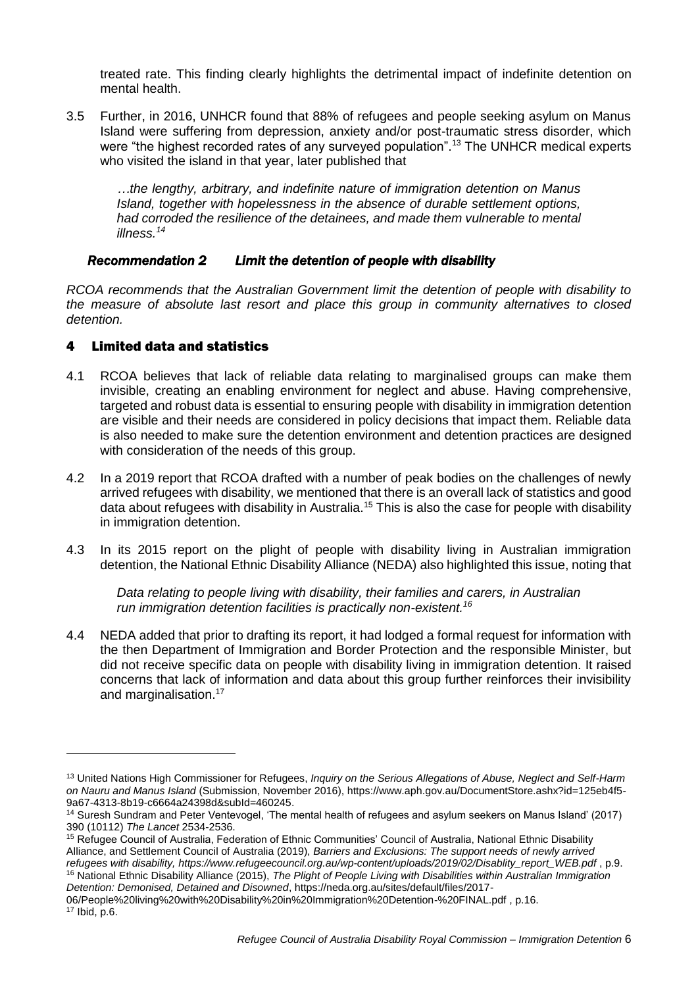treated rate. This finding clearly highlights the detrimental impact of indefinite detention on mental health.

3.5 Further, in 2016, UNHCR found that 88% of refugees and people seeking asylum on Manus Island were suffering from depression, anxiety and/or post-traumatic stress disorder, which were "the highest recorded rates of any surveyed population".<sup>13</sup> The UNHCR medical experts who visited the island in that year, later published that

*…the lengthy, arbitrary, and indefinite nature of immigration detention on Manus Island, together with hopelessness in the absence of durable settlement options, had corroded the resilience of the detainees, and made them vulnerable to mental illness.<sup>14</sup>*

## *Recommendation 2 Limit the detention of people with disability*

*RCOA recommends that the Australian Government limit the detention of people with disability to the measure of absolute last resort and place this group in community alternatives to closed detention.* 

## 4 Limited data and statistics

- 4.1 RCOA believes that lack of reliable data relating to marginalised groups can make them invisible, creating an enabling environment for neglect and abuse. Having comprehensive, targeted and robust data is essential to ensuring people with disability in immigration detention are visible and their needs are considered in policy decisions that impact them. Reliable data is also needed to make sure the detention environment and detention practices are designed with consideration of the needs of this group.
- 4.2 In a 2019 report that RCOA drafted with a number of peak bodies on the challenges of newly arrived refugees with disability, we mentioned that there is an overall lack of statistics and good data about refugees with disability in Australia.<sup>15</sup> This is also the case for people with disability in immigration detention.
- 4.3 In its 2015 report on the plight of people with disability living in Australian immigration detention, the National Ethnic Disability Alliance (NEDA) also highlighted this issue, noting that

*Data relating to people living with disability, their families and carers, in Australian run immigration detention facilities is practically non-existent.<sup>16</sup>*

4.4 NEDA added that prior to drafting its report, it had lodged a formal request for information with the then Department of Immigration and Border Protection and the responsible Minister, but did not receive specific data on people with disability living in immigration detention. It raised concerns that lack of information and data about this group further reinforces their invisibility and marginalisation. 17

*Detention: Demonised, Detained and Disowned*, [https://neda.org.au/sites/default/files/2017-](https://neda.org.au/sites/default/files/2017-06/People%20living%20with%20Disability%20in%20Immigration%20Detention-%20FINAL.pdf) [06/People%20living%20with%20Disability%20in%20Immigration%20Detention-%20FINAL.pdf](https://neda.org.au/sites/default/files/2017-06/People%20living%20with%20Disability%20in%20Immigration%20Detention-%20FINAL.pdf) , p.16.

<sup>13</sup> United Nations High Commissioner for Refugees, *Inquiry on the Serious Allegations of Abuse, Neglect and Self-Harm on Nauru and Manus Island* (Submission, November 2016), https://www.aph.gov.au/DocumentStore.ashx?id=125eb4f5- 9a67-4313-8b19-c6664a24398d&subId=460245.

<sup>&</sup>lt;sup>14</sup> Suresh Sundram and Peter Ventevogel, 'The mental health of refugees and asylum seekers on Manus Island' (2017) 390 (10112) *The Lancet* 2534-2536.

<sup>15</sup> Refugee Council of Australia, Federation of Ethnic Communities' Council of Australia, National Ethnic Disability Alliance, and Settlement Council of Australia (2019), *Barriers and Exclusions: The support needs of newly arrived refugees with disability, [https://www.refugeecouncil.org.au/wp-content/uploads/2019/02/Disablity\\_report\\_WEB.pdf](https://www.refugeecouncil.org.au/wp-content/uploads/2019/02/Disablity_report_WEB.pdf)* , p.9. <sup>16</sup> National Ethnic Disability Alliance (2015), *The Plight of People Living with Disabilities within Australian Immigration* 

<sup>17</sup> Ibid, p.6.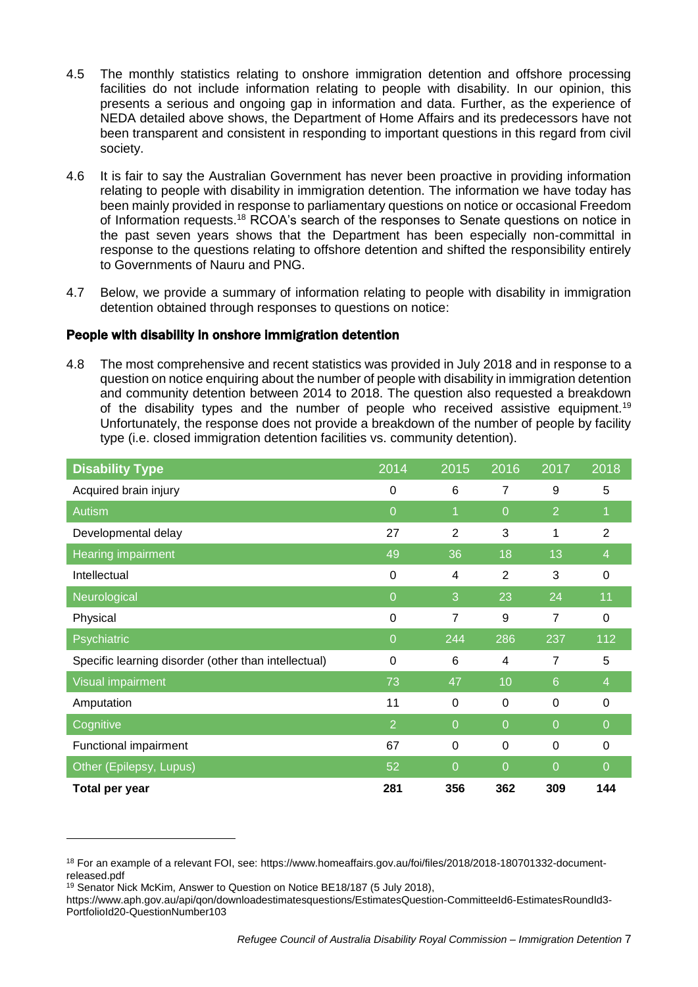- 4.5 The monthly statistics relating to onshore immigration detention and offshore processing facilities do not include information relating to people with disability. In our opinion, this presents a serious and ongoing gap in information and data. Further, as the experience of NEDA detailed above shows, the Department of Home Affairs and its predecessors have not been transparent and consistent in responding to important questions in this regard from civil society.
- 4.6 It is fair to say the Australian Government has never been proactive in providing information relating to people with disability in immigration detention. The information we have today has been mainly provided in response to parliamentary questions on notice or occasional Freedom of Information requests.<sup>18</sup> RCOA's search of the responses to Senate questions on notice in the past seven years shows that the Department has been especially non-committal in response to the questions relating to offshore detention and shifted the responsibility entirely to Governments of Nauru and PNG.
- 4.7 Below, we provide a summary of information relating to people with disability in immigration detention obtained through responses to questions on notice:

## People with disability in onshore immigration detention

4.8 The most comprehensive and recent statistics was provided in July 2018 and in response to a question on notice enquiring about the number of people with disability in immigration detention and community detention between 2014 to 2018. The question also requested a breakdown of the disability types and the number of people who received assistive equipment.<sup>19</sup> Unfortunately, the response does not provide a breakdown of the number of people by facility type (i.e. closed immigration detention facilities vs. community detention).

| <b>Disability Type</b>                               | 2014           | 2015           | 2016           | 2017            | 2018           |
|------------------------------------------------------|----------------|----------------|----------------|-----------------|----------------|
| Acquired brain injury                                | 0              | 6              | $\overline{7}$ | 9               | 5              |
| <b>Autism</b>                                        | $\Omega$       | 1              | $\overline{0}$ | $\overline{2}$  |                |
| Developmental delay                                  | 27             | $\overline{2}$ | 3              | 1               | $\overline{2}$ |
| Hearing impairment                                   | 49             | 36             | 18             | 13              | $\overline{4}$ |
| Intellectual                                         | 0              | 4              | 2              | 3               | 0              |
| Neurological                                         | $\overline{0}$ | 3              | 23             | 24              | 11             |
| Physical                                             | 0              | 7              | 9              | 7               | 0              |
| Psychiatric                                          | $\overline{0}$ | 244            | 286            | 237             | 112            |
| Specific learning disorder (other than intellectual) | 0              | 6              | 4              | 7               | 5              |
| Visual impairment                                    | 73             | 47             | 10             | $6\phantom{1}6$ | $\overline{4}$ |
| Amputation                                           | 11             | 0              | 0              | 0               | 0              |
| Cognitive                                            | $\overline{2}$ | $\overline{0}$ | $\overline{0}$ | $\overline{0}$  | $\overline{0}$ |
| Functional impairment                                | 67             | 0              | 0              | 0               | 0              |
| Other (Epilepsy, Lupus)                              | 52             | $\overline{0}$ | $\Omega$       | $\overline{0}$  | $\Omega$       |
| Total per year                                       | 281            | 356            | 362            | 309             | 144            |

<sup>18</sup> For an example of a relevant FOI, see: [https://www.homeaffairs.gov.au/foi/files/2018/2018-180701332-document](https://www.homeaffairs.gov.au/foi/files/2018/2018-180701332-document-released.pdf)[released.pdf](https://www.homeaffairs.gov.au/foi/files/2018/2018-180701332-document-released.pdf)

<sup>&</sup>lt;sup>19</sup> Senator Nick McKim, Answer to Question on Notice BE18/187 (5 July 2018),

[https://www.aph.gov.au/api/qon/downloadestimatesquestions/EstimatesQuestion-CommitteeId6-EstimatesRoundId3-](https://www.aph.gov.au/api/qon/downloadestimatesquestions/EstimatesQuestion-CommitteeId6-EstimatesRoundId3-PortfolioId20-QuestionNumber103) [PortfolioId20-QuestionNumber103](https://www.aph.gov.au/api/qon/downloadestimatesquestions/EstimatesQuestion-CommitteeId6-EstimatesRoundId3-PortfolioId20-QuestionNumber103)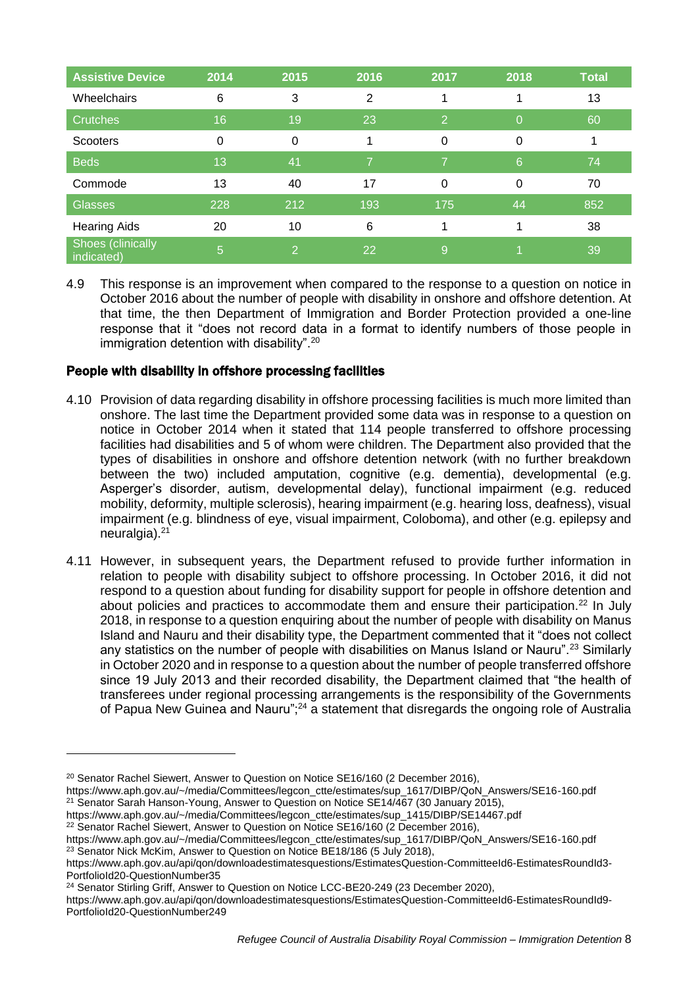| <b>Assistive Device</b>         | 2014 | 2015 | 2016 | 2017           | 2018     | <b>Total</b> |
|---------------------------------|------|------|------|----------------|----------|--------------|
| Wheelchairs                     | 6    | 3    | 2    |                |          | 13           |
| <b>Crutches</b>                 | 16   | 19   | 23   | $\overline{2}$ | $\Omega$ | 60           |
| <b>Scooters</b>                 | 0    | 0    |      | $\Omega$       | $\Omega$ |              |
| <b>Beds</b>                     | 13   | 41   |      | 7              | 6        | 74           |
| Commode                         | 13   | 40   | 17   | $\Omega$       | $\Omega$ | 70           |
| <b>Glasses</b>                  | 228  | 212  | 193  | 175            | 44       | 852          |
| <b>Hearing Aids</b>             | 20   | 10   | 6    |                |          | 38           |
| Shoes (clinically<br>indicated) | 5    | 2    | 22   | 9              |          | 39           |

4.9 This response is an improvement when compared to the response to a question on notice in October 2016 about the number of people with disability in onshore and offshore detention. At that time, the then Department of Immigration and Border Protection provided a one-line response that it "does not record data in a format to identify numbers of those people in immigration detention with disability".<sup>20</sup>

# People with disability in offshore processing facilities

- 4.10 Provision of data regarding disability in offshore processing facilities is much more limited than onshore. The last time the Department provided some data was in response to a question on notice in October 2014 when it stated that 114 people transferred to offshore processing facilities had disabilities and 5 of whom were children. The Department also provided that the types of disabilities in onshore and offshore detention network (with no further breakdown between the two) included amputation, cognitive (e.g. dementia), developmental (e.g. Asperger's disorder, autism, developmental delay), functional impairment (e.g. reduced mobility, deformity, multiple sclerosis), hearing impairment (e.g. hearing loss, deafness), visual impairment (e.g. blindness of eye, visual impairment, Coloboma), and other (e.g. epilepsy and neuralgia). $21$
- 4.11 However, in subsequent years, the Department refused to provide further information in relation to people with disability subject to offshore processing. In October 2016, it did not respond to a question about funding for disability support for people in offshore detention and about policies and practices to accommodate them and ensure their participation.<sup>22</sup> In July 2018, in response to a question enquiring about the number of people with disability on Manus Island and Nauru and their disability type, the Department commented that it "does not collect any statistics on the number of people with disabilities on Manus Island or Nauru".<sup>23</sup> Similarly in October 2020 and in response to a question about the number of people transferred offshore since 19 July 2013 and their recorded disability, the Department claimed that "the health of transferees under regional processing arrangements is the responsibility of the Governments of Papua New Guinea and Nauru";<sup>24</sup> a statement that disregards the ongoing role of Australia

<sup>&</sup>lt;sup>20</sup> Senator Rachel Siewert, Answer to Question on Notice SE16/160 (2 December 2016),

[https://www.aph.gov.au/~/media/Committees/legcon\\_ctte/estimates/sup\\_1617/DIBP/QoN\\_Answers/SE16-160.pdf](https://www.aph.gov.au/~/media/Committees/legcon_ctte/estimates/sup_1617/DIBP/QoN_Answers/SE16-160.pdf) <sup>21</sup> Senator Sarah Hanson-Young, Answer to Question on Notice SE14/467 (30 January 2015),

[https://www.aph.gov.au/~/media/Committees/legcon\\_ctte/estimates/sup\\_1415/DIBP/SE14467.pdf](https://www.aph.gov.au/~/media/Committees/legcon_ctte/estimates/sup_1415/DIBP/SE14467.pdf)

<sup>&</sup>lt;sup>22</sup> Senator Rachel Siewert, Answer to Question on Notice SE16/160 (2 December 2016),

[https://www.aph.gov.au/~/media/Committees/legcon\\_ctte/estimates/sup\\_1617/DIBP/QoN\\_Answers/SE16-160.pdf](https://www.aph.gov.au/~/media/Committees/legcon_ctte/estimates/sup_1617/DIBP/QoN_Answers/SE16-160.pdf) <sup>23</sup> Senator Nick McKim, Answer to Question on Notice BE18/186 (5 July 2018),

[https://www.aph.gov.au/api/qon/downloadestimatesquestions/EstimatesQuestion-CommitteeId6-EstimatesRoundId3-](https://www.aph.gov.au/api/qon/downloadestimatesquestions/EstimatesQuestion-CommitteeId6-EstimatesRoundId3-PortfolioId20-QuestionNumber35) [PortfolioId20-QuestionNumber35](https://www.aph.gov.au/api/qon/downloadestimatesquestions/EstimatesQuestion-CommitteeId6-EstimatesRoundId3-PortfolioId20-QuestionNumber35)

<sup>&</sup>lt;sup>24</sup> Senator Stirling Griff, Answer to Question on Notice LCC-BE20-249 (23 December 2020),

[https://www.aph.gov.au/api/qon/downloadestimatesquestions/EstimatesQuestion-CommitteeId6-EstimatesRoundId9-](https://www.aph.gov.au/api/qon/downloadestimatesquestions/EstimatesQuestion-CommitteeId6-EstimatesRoundId9-PortfolioId20-QuestionNumber249) [PortfolioId20-QuestionNumber249](https://www.aph.gov.au/api/qon/downloadestimatesquestions/EstimatesQuestion-CommitteeId6-EstimatesRoundId9-PortfolioId20-QuestionNumber249)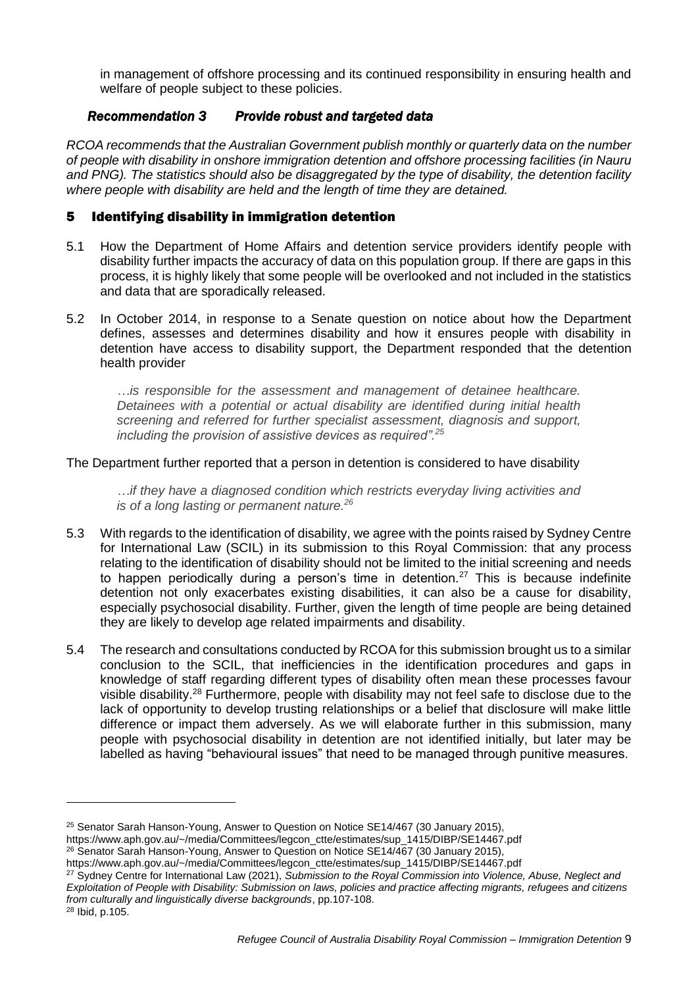in management of offshore processing and its continued responsibility in ensuring health and welfare of people subject to these policies.

# *Recommendation 3 Provide robust and targeted data*

*RCOA recommends that the Australian Government publish monthly or quarterly data on the number of people with disability in onshore immigration detention and offshore processing facilities (in Nauru and PNG). The statistics should also be disaggregated by the type of disability, the detention facility where people with disability are held and the length of time they are detained.* 

# 5 Identifying disability in immigration detention

- 5.1 How the Department of Home Affairs and detention service providers identify people with disability further impacts the accuracy of data on this population group. If there are gaps in this process, it is highly likely that some people will be overlooked and not included in the statistics and data that are sporadically released.
- 5.2 In October 2014, in response to a Senate question on notice about how the Department defines, assesses and determines disability and how it ensures people with disability in detention have access to disability support, the Department responded that the detention health provider

*…is responsible for the assessment and management of detainee healthcare. Detainees with a potential or actual disability are identified during initial health screening and referred for further specialist assessment, diagnosis and support, including the provision of assistive devices as required".<sup>25</sup>*

The Department further reported that a person in detention is considered to have disability

*…if they have a diagnosed condition which restricts everyday living activities and is of a long lasting or permanent nature. 26*

- 5.3 With regards to the identification of disability, we agree with the points raised by Sydney Centre for International Law (SCIL) in its submission to this Royal Commission: that any process relating to the identification of disability should not be limited to the initial screening and needs to happen periodically during a person's time in detention.<sup>27</sup> This is because indefinite detention not only exacerbates existing disabilities, it can also be a cause for disability, especially psychosocial disability. Further, given the length of time people are being detained they are likely to develop age related impairments and disability.
- 5.4 The research and consultations conducted by RCOA for this submission brought us to a similar conclusion to the SCIL, that inefficiencies in the identification procedures and gaps in knowledge of staff regarding different types of disability often mean these processes favour visible disability.<sup>28</sup> Furthermore, people with disability may not feel safe to disclose due to the lack of opportunity to develop trusting relationships or a belief that disclosure will make little difference or impact them adversely. As we will elaborate further in this submission, many people with psychosocial disability in detention are not identified initially, but later may be labelled as having "behavioural issues" that need to be managed through punitive measures.

[https://www.aph.gov.au/~/media/Committees/legcon\\_ctte/estimates/sup\\_1415/DIBP/SE14467.pdf](https://www.aph.gov.au/~/media/Committees/legcon_ctte/estimates/sup_1415/DIBP/SE14467.pdf)

<sup>26</sup> Senator Sarah Hanson-Young, Answer to Question on Notice SE14/467 (30 January 2015),

<sup>27</sup> Sydney Centre for International Law (2021), *Submission to the Royal Commission into Violence, Abuse, Neglect and Exploitation of People with Disability: Submission on laws, policies and practice affecting migrants, refugees and citizens from culturally and linguistically diverse backgrounds*, pp.107-108.

<sup>&</sup>lt;sup>25</sup> Senator Sarah Hanson-Young, Answer to Question on Notice SE14/467 (30 January 2015),

[https://www.aph.gov.au/~/media/Committees/legcon\\_ctte/estimates/sup\\_1415/DIBP/SE14467.pdf](https://www.aph.gov.au/~/media/Committees/legcon_ctte/estimates/sup_1415/DIBP/SE14467.pdf)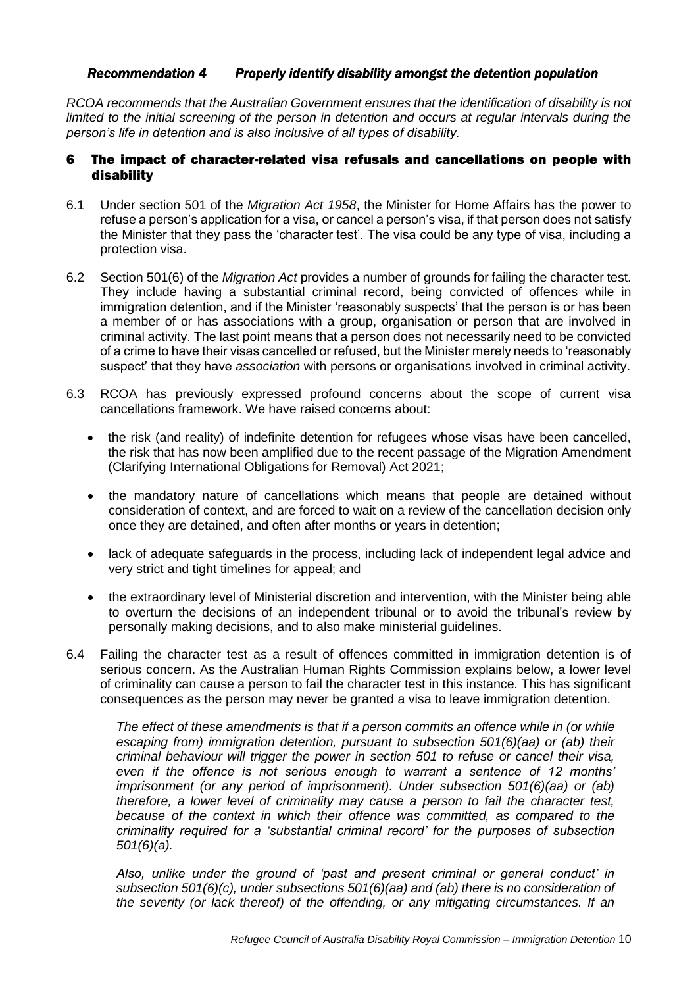#### *Recommendation 4 Properly identify disability amongst the detention population*

*RCOA recommends that the Australian Government ensures that the identification of disability is not limited to the initial screening of the person in detention and occurs at regular intervals during the person's life in detention and is also inclusive of all types of disability.* 

## 6 The impact of character-related visa refusals and cancellations on people with disability

- 6.1 Under section 501 of the *Migration Act 1958*, the Minister for Home Affairs has the power to refuse a person's application for a visa, or cancel a person's visa, if that person does not satisfy the Minister that they pass the 'character test'. The visa could be any type of visa, including a protection visa.
- 6.2 Section 501(6) of the *Migration Act* provides a number of grounds for failing the character test. They include having a substantial criminal record, being convicted of offences while in immigration detention, and if the Minister 'reasonably suspects' that the person is or has been a member of or has associations with a group, organisation or person that are involved in criminal activity. The last point means that a person does not necessarily need to be convicted of a crime to have their visas cancelled or refused, but the Minister merely needs to 'reasonably suspect' that they have *association* with persons or organisations involved in criminal activity.
- 6.3 RCOA has previously expressed profound concerns about the scope of current visa cancellations framework. We have raised concerns about:
	- the risk (and reality) of indefinite detention for refugees whose visas have been cancelled, the risk that has now been amplified due to the recent passage of the Migration Amendment (Clarifying International Obligations for Removal) Act 2021;
	- the mandatory nature of cancellations which means that people are detained without consideration of context, and are forced to wait on a review of the cancellation decision only once they are detained, and often after months or years in detention;
	- lack of adequate safeguards in the process, including lack of independent legal advice and very strict and tight timelines for appeal; and
	- the extraordinary level of Ministerial discretion and intervention, with the Minister being able to overturn the decisions of an independent tribunal or to avoid the tribunal's review by personally making decisions, and to also make ministerial guidelines.
- 6.4 Failing the character test as a result of offences committed in immigration detention is of serious concern. As the Australian Human Rights Commission explains below, a lower level of criminality can cause a person to fail the character test in this instance. This has significant consequences as the person may never be granted a visa to leave immigration detention.

The effect of these amendments is that if a person commits an offence while in (or while *escaping from) immigration detention, pursuant to subsection 501(6)(aa) or (ab) their criminal behaviour will trigger the power in section 501 to refuse or cancel their visa, even if the offence is not serious enough to warrant a sentence of 12 months' imprisonment (or any period of imprisonment). Under subsection 501(6)(aa) or (ab) therefore, a lower level of criminality may cause a person to fail the character test,*  because of the context in which their offence was committed, as compared to the *criminality required for a 'substantial criminal record' for the purposes of subsection 501(6)(a).*

*Also, unlike under the ground of 'past and present criminal or general conduct' in subsection 501(6)(c), under subsections 501(6)(aa) and (ab) there is no consideration of the severity (or lack thereof) of the offending, or any mitigating circumstances. If an*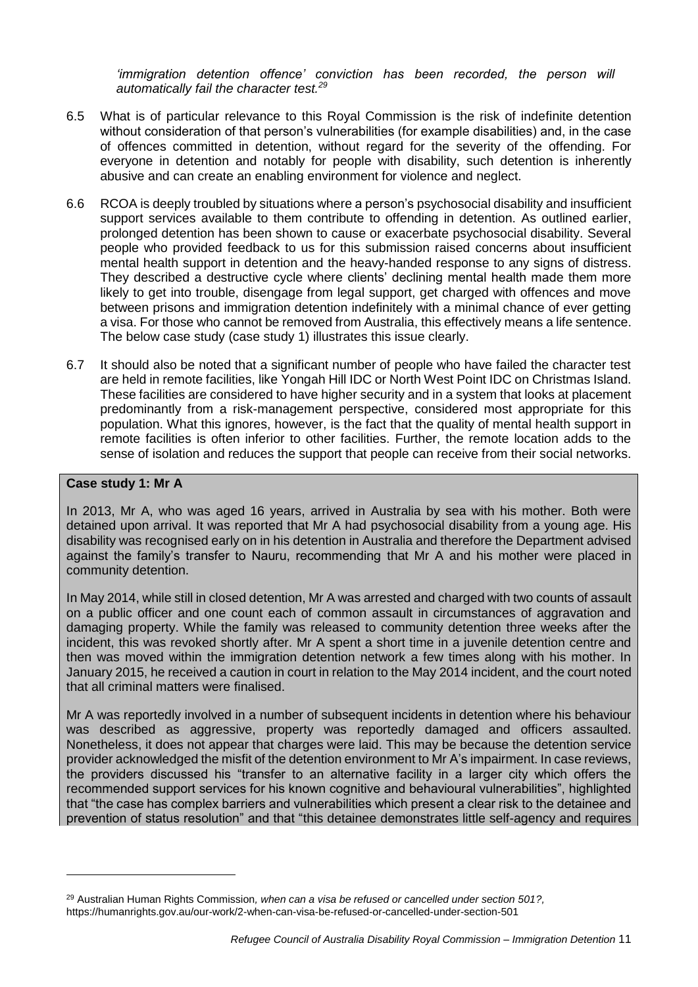*'immigration detention offence' conviction has been recorded, the person will automatically fail the character test.<sup>29</sup>*

- 6.5 What is of particular relevance to this Royal Commission is the risk of indefinite detention without consideration of that person's vulnerabilities (for example disabilities) and, in the case of offences committed in detention, without regard for the severity of the offending. For everyone in detention and notably for people with disability, such detention is inherently abusive and can create an enabling environment for violence and neglect.
- 6.6 RCOA is deeply troubled by situations where a person's psychosocial disability and insufficient support services available to them contribute to offending in detention. As outlined earlier, prolonged detention has been shown to cause or exacerbate psychosocial disability. Several people who provided feedback to us for this submission raised concerns about insufficient mental health support in detention and the heavy-handed response to any signs of distress. They described a destructive cycle where clients' declining mental health made them more likely to get into trouble, disengage from legal support, get charged with offences and move between prisons and immigration detention indefinitely with a minimal chance of ever getting a visa. For those who cannot be removed from Australia, this effectively means a life sentence. The below case study (case study 1) illustrates this issue clearly.
- 6.7 It should also be noted that a significant number of people who have failed the character test are held in remote facilities, like Yongah Hill IDC or North West Point IDC on Christmas Island. These facilities are considered to have higher security and in a system that looks at placement predominantly from a risk-management perspective, considered most appropriate for this population. What this ignores, however, is the fact that the quality of mental health support in remote facilities is often inferior to other facilities. Further, the remote location adds to the sense of isolation and reduces the support that people can receive from their social networks.

#### **Case study 1: Mr A**

-

In 2013, Mr A, who was aged 16 years, arrived in Australia by sea with his mother. Both were detained upon arrival. It was reported that Mr A had psychosocial disability from a young age. His disability was recognised early on in his detention in Australia and therefore the Department advised against the family's transfer to Nauru, recommending that Mr A and his mother were placed in community detention.

In May 2014, while still in closed detention, Mr A was arrested and charged with two counts of assault on a public officer and one count each of common assault in circumstances of aggravation and damaging property. While the family was released to community detention three weeks after the incident, this was revoked shortly after. Mr A spent a short time in a juvenile detention centre and then was moved within the immigration detention network a few times along with his mother. In January 2015, he received a caution in court in relation to the May 2014 incident, and the court noted that all criminal matters were finalised.

Mr A was reportedly involved in a number of subsequent incidents in detention where his behaviour was described as aggressive, property was reportedly damaged and officers assaulted. Nonetheless, it does not appear that charges were laid. This may be because the detention service provider acknowledged the misfit of the detention environment to Mr A's impairment. In case reviews, the providers discussed his "transfer to an alternative facility in a larger city which offers the recommended support services for his known cognitive and behavioural vulnerabilities", highlighted that "the case has complex barriers and vulnerabilities which present a clear risk to the detainee and prevention of status resolution" and that "this detainee demonstrates little self-agency and requires

<sup>29</sup> Australian Human Rights Commission*, when can a visa be refused or cancelled under section 501?,* <https://humanrights.gov.au/our-work/2-when-can-visa-be-refused-or-cancelled-under-section-501>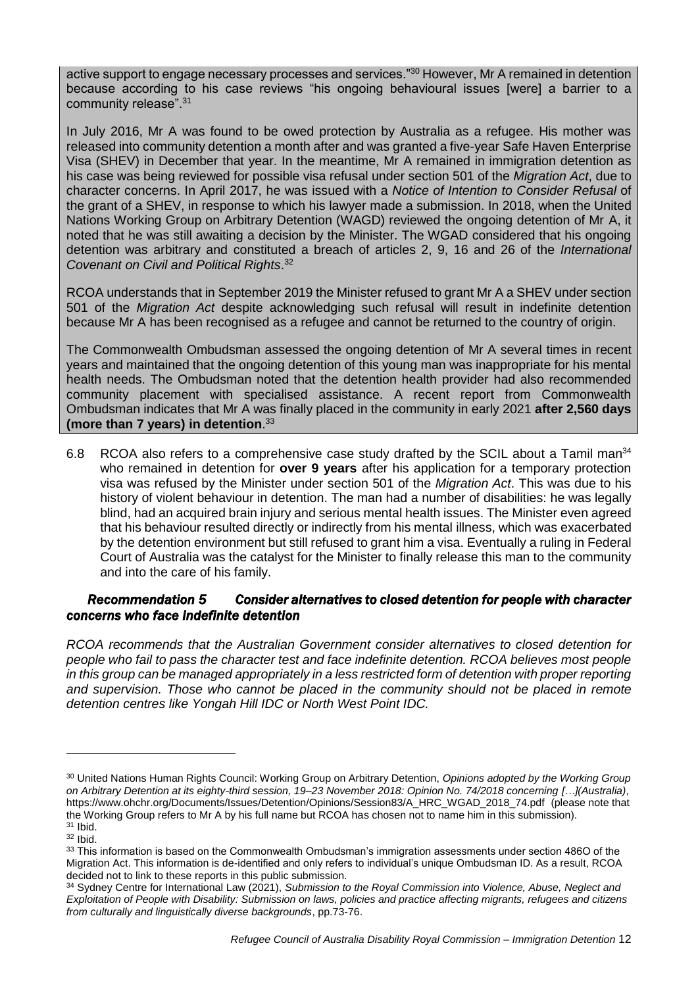active support to engage necessary processes and services."<sup>30</sup> However, Mr A remained in detention because according to his case reviews "his ongoing behavioural issues [were] a barrier to a community release".<sup>31</sup>

In July 2016, Mr A was found to be owed protection by Australia as a refugee. His mother was released into community detention a month after and was granted a five-year Safe Haven Enterprise Visa (SHEV) in December that year. In the meantime, Mr A remained in immigration detention as his case was being reviewed for possible visa refusal under section 501 of the *Migration Act*, due to character concerns. In April 2017, he was issued with a *Notice of Intention to Consider Refusal* of the grant of a SHEV, in response to which his lawyer made a submission. In 2018, when the United Nations Working Group on Arbitrary Detention (WAGD) reviewed the ongoing detention of Mr A, it noted that he was still awaiting a decision by the Minister. The WGAD considered that his ongoing detention was arbitrary and constituted a breach of articles 2, 9, 16 and 26 of the *International Covenant on Civil and Political Rights*. 32

RCOA understands that in September 2019 the Minister refused to grant Mr A a SHEV under section 501 of the *Migration Act* despite acknowledging such refusal will result in indefinite detention because Mr A has been recognised as a refugee and cannot be returned to the country of origin.

The Commonwealth Ombudsman assessed the ongoing detention of Mr A several times in recent years and maintained that the ongoing detention of this young man was inappropriate for his mental health needs. The Ombudsman noted that the detention health provider had also recommended community placement with specialised assistance. A recent report from Commonwealth Ombudsman indicates that Mr A was finally placed in the community in early 2021 **after 2,560 days (more than 7 years) in detention**. 33

6.8 RCOA also refers to a comprehensive case study drafted by the SCIL about a Tamil man<sup>34</sup> who remained in detention for **over 9 years** after his application for a temporary protection visa was refused by the Minister under section 501 of the *Migration Act*. This was due to his history of violent behaviour in detention. The man had a number of disabilities: he was legally blind, had an acquired brain injury and serious mental health issues. The Minister even agreed that his behaviour resulted directly or indirectly from his mental illness, which was exacerbated by the detention environment but still refused to grant him a visa. Eventually a ruling in Federal Court of Australia was the catalyst for the Minister to finally release this man to the community and into the care of his family.

## *Recommendation 5 Consider alternatives to closed detention for people with character concerns who face indefinite detention*

*RCOA recommends that the Australian Government consider alternatives to closed detention for people who fail to pass the character test and face indefinite detention. RCOA believes most people in this group can be managed appropriately in a less restricted form of detention with proper reporting and supervision. Those who cannot be placed in the community should not be placed in remote detention centres like Yongah Hill IDC or North West Point IDC.* 

<sup>30</sup> United Nations Human Rights Council: Working Group on Arbitrary Detention, *Opinions adopted by the Working Group on Arbitrary Detention at its eighty-third session, 19–23 November 2018: Opinion No. 74/2018 concerning […](Australia)*, [https://www.ohchr.org/Documents/Issues/Detention/Opinions/Session83/A\\_HRC\\_WGAD\\_2018\\_74.pdf](https://www.ohchr.org/Documents/Issues/Detention/Opinions/Session83/A_HRC_WGAD_2018_74.pdf) (please note that the Working Group refers to Mr A by his full name but RCOA has chosen not to name him in this submission).  $31$  Ibid.

 $32$  Ibid.

<sup>33</sup> This information is based on the Commonwealth Ombudsman's immigration assessments under section 486O of the Migration Act. This information is de-identified and only refers to individual's unique Ombudsman ID. As a result, RCOA decided not to link to these reports in this public submission.

<sup>34</sup> Sydney Centre for International Law (2021), *Submission to the Royal Commission into Violence, Abuse, Neglect and Exploitation of People with Disability: Submission on laws, policies and practice affecting migrants, refugees and citizens from culturally and linguistically diverse backgrounds*, pp.73-76.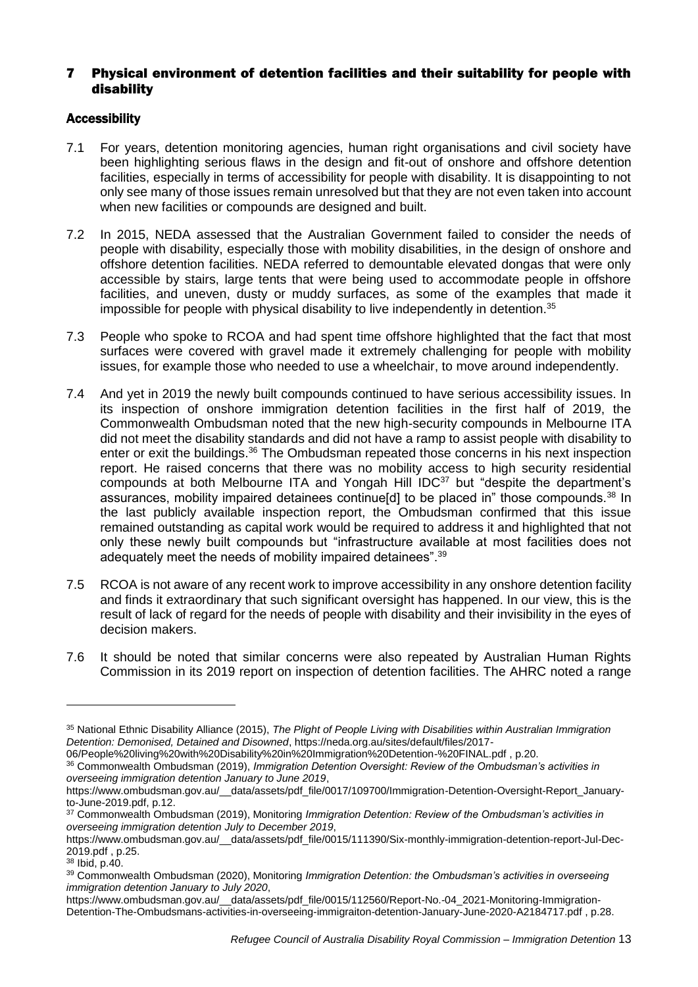## 7 Physical environment of detention facilities and their suitability for people with disability

## Accessibility

- 7.1 For years, detention monitoring agencies, human right organisations and civil society have been highlighting serious flaws in the design and fit-out of onshore and offshore detention facilities, especially in terms of accessibility for people with disability. It is disappointing to not only see many of those issues remain unresolved but that they are not even taken into account when new facilities or compounds are designed and built.
- 7.2 In 2015, NEDA assessed that the Australian Government failed to consider the needs of people with disability, especially those with mobility disabilities, in the design of onshore and offshore detention facilities. NEDA referred to demountable elevated dongas that were only accessible by stairs, large tents that were being used to accommodate people in offshore facilities, and uneven, dusty or muddy surfaces, as some of the examples that made it impossible for people with physical disability to live independently in detention.<sup>35</sup>
- 7.3 People who spoke to RCOA and had spent time offshore highlighted that the fact that most surfaces were covered with gravel made it extremely challenging for people with mobility issues, for example those who needed to use a wheelchair, to move around independently.
- 7.4 And yet in 2019 the newly built compounds continued to have serious accessibility issues. In its inspection of onshore immigration detention facilities in the first half of 2019, the Commonwealth Ombudsman noted that the new high-security compounds in Melbourne ITA did not meet the disability standards and did not have a ramp to assist people with disability to enter or exit the buildings.<sup>36</sup> The Ombudsman repeated those concerns in his next inspection report. He raised concerns that there was no mobility access to high security residential compounds at both Melbourne ITA and Yongah Hill IDC<sup>37</sup> but "despite the department's assurances, mobility impaired detainees continue [d] to be placed in" those compounds.<sup>38</sup> In the last publicly available inspection report, the Ombudsman confirmed that this issue remained outstanding as capital work would be required to address it and highlighted that not only these newly built compounds but "infrastructure available at most facilities does not adequately meet the needs of mobility impaired detainees".<sup>39</sup>
- 7.5 RCOA is not aware of any recent work to improve accessibility in any onshore detention facility and finds it extraordinary that such significant oversight has happened. In our view, this is the result of lack of regard for the needs of people with disability and their invisibility in the eyes of decision makers.
- 7.6 It should be noted that similar concerns were also repeated by Australian Human Rights Commission in its 2019 report on inspection of detention facilities. The AHRC noted a range

<sup>35</sup> National Ethnic Disability Alliance (2015), *The Plight of People Living with Disabilities within Australian Immigration Detention: Demonised, Detained and Disowned*, [https://neda.org.au/sites/default/files/2017-](https://neda.org.au/sites/default/files/2017-06/People%20living%20with%20Disability%20in%20Immigration%20Detention-%20FINAL.pdf)

[<sup>06/</sup>People%20living%20with%20Disability%20in%20Immigration%20Detention-%20FINAL.pdf](https://neda.org.au/sites/default/files/2017-06/People%20living%20with%20Disability%20in%20Immigration%20Detention-%20FINAL.pdf) , p.20.

<sup>36</sup> Commonwealth Ombudsman (2019), *Immigration Detention Oversight: Review of the Ombudsman's activities in overseeing immigration detention January to June 2019*,

[https://www.ombudsman.gov.au/\\_\\_data/assets/pdf\\_file/0017/109700/Immigration-Detention-Oversight-Report\\_January](https://www.ombudsman.gov.au/__data/assets/pdf_file/0017/109700/Immigration-Detention-Oversight-Report_January-to-June-2019.pdf)[to-June-2019.pdf,](https://www.ombudsman.gov.au/__data/assets/pdf_file/0017/109700/Immigration-Detention-Oversight-Report_January-to-June-2019.pdf) p.12.

<sup>37</sup> Commonwealth Ombudsman (2019), Monitoring *Immigration Detention: Review of the Ombudsman's activities in overseeing immigration detention July to December 2019*,

[https://www.ombudsman.gov.au/\\_\\_data/assets/pdf\\_file/0015/111390/Six-monthly-immigration-detention-report-Jul-Dec-](https://www.ombudsman.gov.au/__data/assets/pdf_file/0015/111390/Six-monthly-immigration-detention-report-Jul-Dec-2019.pdf)[2019.pdf](https://www.ombudsman.gov.au/__data/assets/pdf_file/0015/111390/Six-monthly-immigration-detention-report-Jul-Dec-2019.pdf) , p.25.

<sup>38</sup> Ibid, p.40.

<sup>39</sup> Commonwealth Ombudsman (2020), Monitoring *Immigration Detention: the Ombudsman's activities in overseeing immigration detention January to July 2020*,

[https://www.ombudsman.gov.au/\\_\\_data/assets/pdf\\_file/0015/112560/Report-No.-04\\_2021-Monitoring-Immigration-](https://www.ombudsman.gov.au/__data/assets/pdf_file/0015/112560/Report-No.-04_2021-Monitoring-Immigration-Detention-The-Ombudsmans-activities-in-overseeing-immigraiton-detention-January-June-2020-A2184717.pdf)[Detention-The-Ombudsmans-activities-in-overseeing-immigraiton-detention-January-June-2020-A2184717.pdf](https://www.ombudsman.gov.au/__data/assets/pdf_file/0015/112560/Report-No.-04_2021-Monitoring-Immigration-Detention-The-Ombudsmans-activities-in-overseeing-immigraiton-detention-January-June-2020-A2184717.pdf) , p.28.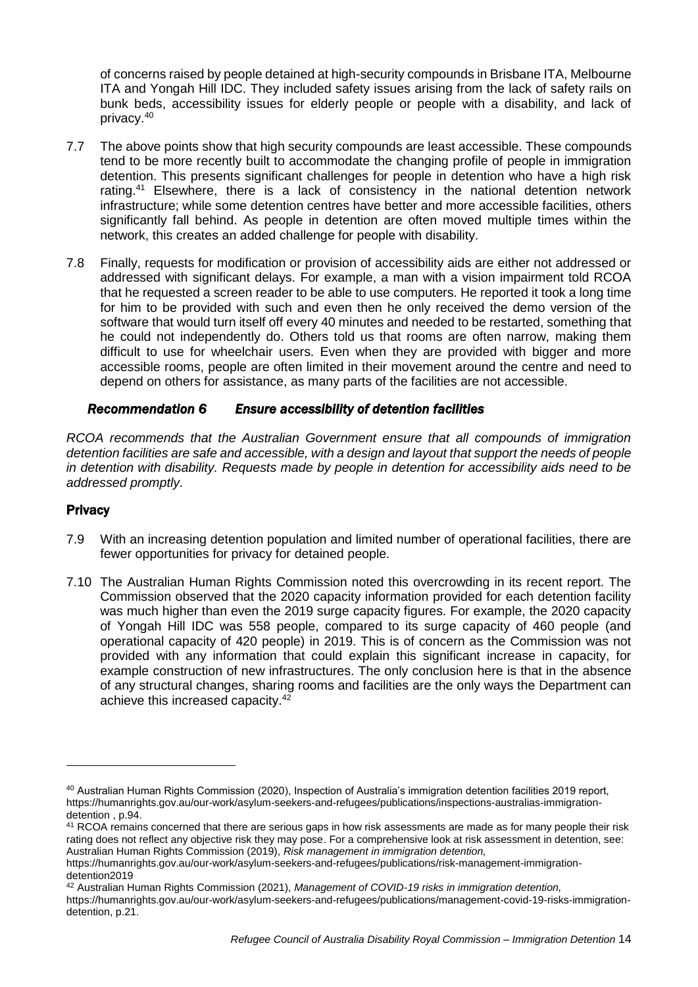of concerns raised by people detained at high-security compounds in Brisbane ITA, Melbourne ITA and Yongah Hill IDC. They included safety issues arising from the lack of safety rails on bunk beds, accessibility issues for elderly people or people with a disability, and lack of privacy.<sup>40</sup>

- 7.7 The above points show that high security compounds are least accessible. These compounds tend to be more recently built to accommodate the changing profile of people in immigration detention. This presents significant challenges for people in detention who have a high risk rating.<sup>41</sup> Elsewhere, there is a lack of consistency in the national detention network infrastructure; while some detention centres have better and more accessible facilities, others significantly fall behind. As people in detention are often moved multiple times within the network, this creates an added challenge for people with disability.
- 7.8 Finally, requests for modification or provision of accessibility aids are either not addressed or addressed with significant delays. For example, a man with a vision impairment told RCOA that he requested a screen reader to be able to use computers. He reported it took a long time for him to be provided with such and even then he only received the demo version of the software that would turn itself off every 40 minutes and needed to be restarted, something that he could not independently do. Others told us that rooms are often narrow, making them difficult to use for wheelchair users. Even when they are provided with bigger and more accessible rooms, people are often limited in their movement around the centre and need to depend on others for assistance, as many parts of the facilities are not accessible.

## *Recommendation 6 Ensure accessibility of detention facilities*

*RCOA recommends that the Australian Government ensure that all compounds of immigration detention facilities are safe and accessible, with a design and layout that support the needs of people in detention with disability. Requests made by people in detention for accessibility aids need to be addressed promptly.* 

## **Privacy**

- 7.9 With an increasing detention population and limited number of operational facilities, there are fewer opportunities for privacy for detained people.
- 7.10 The Australian Human Rights Commission noted this overcrowding in its recent report. The Commission observed that the 2020 capacity information provided for each detention facility was much higher than even the 2019 surge capacity figures. For example, the 2020 capacity of Yongah Hill IDC was 558 people, compared to its surge capacity of 460 people (and operational capacity of 420 people) in 2019. This is of concern as the Commission was not provided with any information that could explain this significant increase in capacity, for example construction of new infrastructures. The only conclusion here is that in the absence of any structural changes, sharing rooms and facilities are the only ways the Department can achieve this increased capacity.<sup>42</sup>

<sup>40</sup> Australian Human Rights Commission (2020), Inspection of Australia's immigration detention facilities 2019 report, [https://humanrights.gov.au/our-work/asylum-seekers-and-refugees/publications/inspections-australias-immigration](https://humanrights.gov.au/our-work/asylum-seekers-and-refugees/publications/inspections-australias-immigration-detention)[detention](https://humanrights.gov.au/our-work/asylum-seekers-and-refugees/publications/inspections-australias-immigration-detention) , p.94.

<sup>&</sup>lt;sup>41</sup> RCOA remains concerned that there are serious gaps in how risk assessments are made as for many people their risk rating does not reflect any objective risk they may pose. For a comprehensive look at risk assessment in detention, see: Australian Human Rights Commission (2019), *Risk management in immigration detention,*

[https://humanrights.gov.au/our-work/asylum-seekers-and-refugees/publications/risk-management-immigration](https://humanrights.gov.au/our-work/asylum-seekers-and-refugees/publications/risk-management-immigration-detention2019)[detention2019](https://humanrights.gov.au/our-work/asylum-seekers-and-refugees/publications/risk-management-immigration-detention2019)

<sup>42</sup> Australian Human Rights Commission (2021), *Management of COVID-19 risks in immigration detention,* 

[https://humanrights.gov.au/our-work/asylum-seekers-and-refugees/publications/management-covid-19-risks-immigration](https://humanrights.gov.au/our-work/asylum-seekers-and-refugees/publications/management-covid-19-risks-immigration-detention)[detention,](https://humanrights.gov.au/our-work/asylum-seekers-and-refugees/publications/management-covid-19-risks-immigration-detention) p.21.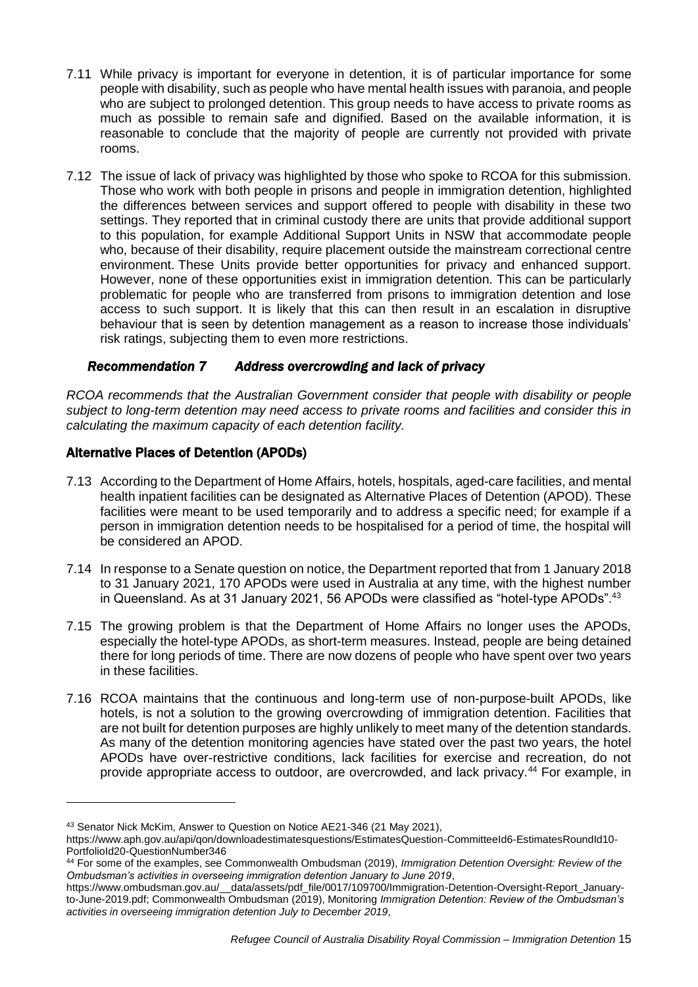- 7.11 While privacy is important for everyone in detention, it is of particular importance for some people with disability, such as people who have mental health issues with paranoia, and people who are subject to prolonged detention. This group needs to have access to private rooms as much as possible to remain safe and dignified. Based on the available information, it is reasonable to conclude that the majority of people are currently not provided with private rooms.
- 7.12 The issue of lack of privacy was highlighted by those who spoke to RCOA for this submission. Those who work with both people in prisons and people in immigration detention, highlighted the differences between services and support offered to people with disability in these two settings. They reported that in criminal custody there are units that provide additional support to this population, for example Additional Support Units in NSW that accommodate people who, because of their disability, require placement outside the mainstream correctional centre environment. These Units provide better opportunities for privacy and enhanced support. However, none of these opportunities exist in immigration detention. This can be particularly problematic for people who are transferred from prisons to immigration detention and lose access to such support. It is likely that this can then result in an escalation in disruptive behaviour that is seen by detention management as a reason to increase those individuals' risk ratings, subjecting them to even more restrictions.

## *Recommendation 7 Address overcrowding and lack of privacy*

*RCOA recommends that the Australian Government consider that people with disability or people subject to long-term detention may need access to private rooms and facilities and consider this in calculating the maximum capacity of each detention facility.* 

# Alternative Places of Detention (APODs)

- 7.13 According to the Department of Home Affairs, hotels, hospitals, aged-care facilities, and mental health inpatient facilities can be designated as Alternative Places of Detention (APOD). These facilities were meant to be used temporarily and to address a specific need; for example if a person in immigration detention needs to be hospitalised for a period of time, the hospital will be considered an APOD.
- 7.14 In response to a Senate question on notice, the Department reported that from 1 January 2018 to 31 January 2021, 170 APODs were used in Australia at any time, with the highest number in Queensland. As at 31 January 2021, 56 APODs were classified as "hotel-type APODs".<sup>43</sup>
- 7.15 The growing problem is that the Department of Home Affairs no longer uses the APODs, especially the hotel-type APODs, as short-term measures. Instead, people are being detained there for long periods of time. There are now dozens of people who have spent over two years in these facilities.
- 7.16 RCOA maintains that the continuous and long-term use of non-purpose-built APODs, like hotels, is not a solution to the growing overcrowding of immigration detention. Facilities that are not built for detention purposes are highly unlikely to meet many of the detention standards. As many of the detention monitoring agencies have stated over the past two years, the hotel APODs have over-restrictive conditions, lack facilities for exercise and recreation, do not provide appropriate access to outdoor, are overcrowded, and lack privacy.<sup>44</sup> For example, in

<sup>43</sup> Senator Nick McKim, Answer to Question on Notice AE21-346 (21 May 2021),

[https://www.aph.gov.au/api/qon/downloadestimatesquestions/EstimatesQuestion-CommitteeId6-EstimatesRoundId10-](https://www.aph.gov.au/api/qon/downloadestimatesquestions/EstimatesQuestion-CommitteeId6-EstimatesRoundId10-PortfolioId20-QuestionNumber346) [PortfolioId20-QuestionNumber346](https://www.aph.gov.au/api/qon/downloadestimatesquestions/EstimatesQuestion-CommitteeId6-EstimatesRoundId10-PortfolioId20-QuestionNumber346)

<sup>44</sup> For some of the examples, see Commonwealth Ombudsman (2019), *Immigration Detention Oversight: Review of the Ombudsman's activities in overseeing immigration detention January to June 2019*,

[https://www.ombudsman.gov.au/\\_\\_data/assets/pdf\\_file/0017/109700/Immigration-Detention-Oversight-Report\\_January](https://www.ombudsman.gov.au/__data/assets/pdf_file/0017/109700/Immigration-Detention-Oversight-Report_January-to-June-2019.pdf)[to-June-2019.pdf;](https://www.ombudsman.gov.au/__data/assets/pdf_file/0017/109700/Immigration-Detention-Oversight-Report_January-to-June-2019.pdf) Commonwealth Ombudsman (2019), Monitoring *Immigration Detention: Review of the Ombudsman's activities in overseeing immigration detention July to December 2019*,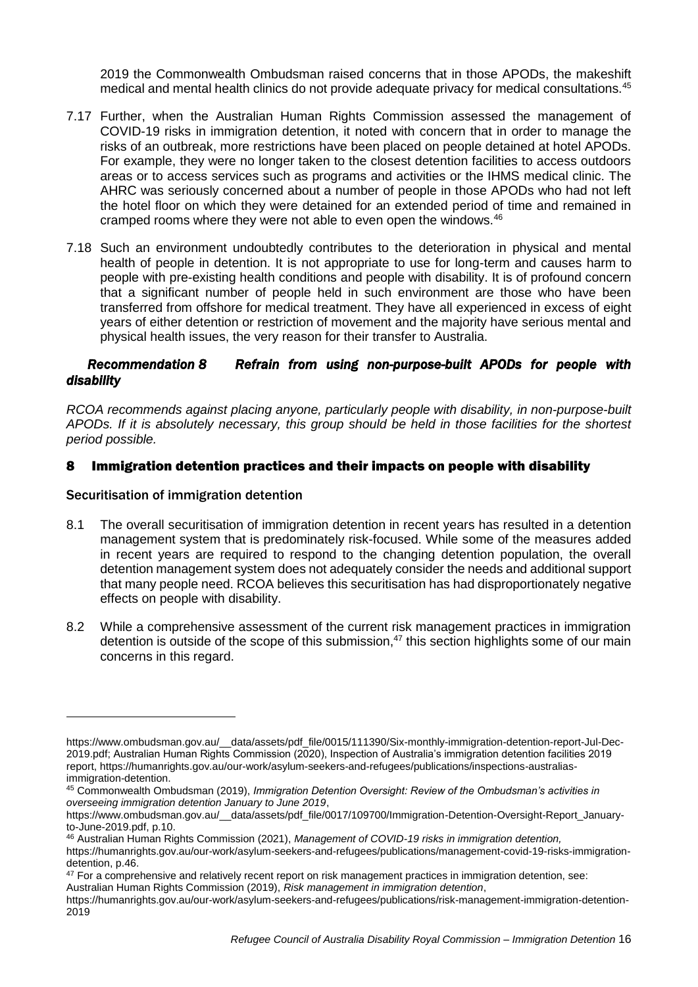2019 the Commonwealth Ombudsman raised concerns that in those APODs, the makeshift medical and mental health clinics do not provide adequate privacy for medical consultations.<sup>45</sup>

- 7.17 Further, when the Australian Human Rights Commission assessed the management of COVID-19 risks in immigration detention, it noted with concern that in order to manage the risks of an outbreak, more restrictions have been placed on people detained at hotel APODs. For example, they were no longer taken to the closest detention facilities to access outdoors areas or to access services such as programs and activities or the IHMS medical clinic. The AHRC was seriously concerned about a number of people in those APODs who had not left the hotel floor on which they were detained for an extended period of time and remained in cramped rooms where they were not able to even open the windows.<sup>46</sup>
- 7.18 Such an environment undoubtedly contributes to the deterioration in physical and mental health of people in detention. It is not appropriate to use for long-term and causes harm to people with pre-existing health conditions and people with disability. It is of profound concern that a significant number of people held in such environment are those who have been transferred from offshore for medical treatment. They have all experienced in excess of eight years of either detention or restriction of movement and the majority have serious mental and physical health issues, the very reason for their transfer to Australia.

## *Recommendation 8 Refrain from using non-purpose-built APODs for people with disability*

*RCOA recommends against placing anyone, particularly people with disability, in non-purpose-built APODs. If it is absolutely necessary, this group should be held in those facilities for the shortest period possible.* 

## 8 Immigration detention practices and their impacts on people with disability

#### Securitisation of immigration detention

-

- 8.1 The overall securitisation of immigration detention in recent years has resulted in a detention management system that is predominately risk-focused. While some of the measures added in recent years are required to respond to the changing detention population, the overall detention management system does not adequately consider the needs and additional support that many people need. RCOA believes this securitisation has had disproportionately negative effects on people with disability.
- 8.2 While a comprehensive assessment of the current risk management practices in immigration detention is outside of the scope of this submission, $47$  this section highlights some of our main concerns in this regard.

Australian Human Rights Commission (2019), *Risk management in immigration detention*,

[https://www.ombudsman.gov.au/\\_\\_data/assets/pdf\\_file/0015/111390/Six-monthly-immigration-detention-report-Jul-Dec-](https://www.ombudsman.gov.au/__data/assets/pdf_file/0015/111390/Six-monthly-immigration-detention-report-Jul-Dec-2019.pdf)[2019.pdf;](https://www.ombudsman.gov.au/__data/assets/pdf_file/0015/111390/Six-monthly-immigration-detention-report-Jul-Dec-2019.pdf) Australian Human Rights Commission (2020), Inspection of Australia's immigration detention facilities 2019 report, [https://humanrights.gov.au/our-work/asylum-seekers-and-refugees/publications/inspections-australias](https://humanrights.gov.au/our-work/asylum-seekers-and-refugees/publications/inspections-australias-immigration-detention)[immigration-detention.](https://humanrights.gov.au/our-work/asylum-seekers-and-refugees/publications/inspections-australias-immigration-detention)

<sup>45</sup> Commonwealth Ombudsman (2019), *Immigration Detention Oversight: Review of the Ombudsman's activities in overseeing immigration detention January to June 2019*,

[https://www.ombudsman.gov.au/\\_\\_data/assets/pdf\\_file/0017/109700/Immigration-Detention-Oversight-Report\\_January](https://www.ombudsman.gov.au/__data/assets/pdf_file/0017/109700/Immigration-Detention-Oversight-Report_January-to-June-2019.pdf)[to-June-2019.pdf,](https://www.ombudsman.gov.au/__data/assets/pdf_file/0017/109700/Immigration-Detention-Oversight-Report_January-to-June-2019.pdf) p.10.

<sup>46</sup> Australian Human Rights Commission (2021), *Management of COVID-19 risks in immigration detention,* 

[https://humanrights.gov.au/our-work/asylum-seekers-and-refugees/publications/management-covid-19-risks-immigration](https://humanrights.gov.au/our-work/asylum-seekers-and-refugees/publications/management-covid-19-risks-immigration-detention)[detention,](https://humanrights.gov.au/our-work/asylum-seekers-and-refugees/publications/management-covid-19-risks-immigration-detention) p.46.

<sup>&</sup>lt;sup>47</sup> For a comprehensive and relatively recent report on risk management practices in immigration detention, see:

[https://humanrights.gov.au/our-work/asylum-seekers-and-refugees/publications/risk-management-immigration-detention-](https://humanrights.gov.au/our-work/asylum-seekers-and-refugees/publications/risk-management-immigration-detention-2019)[2019](https://humanrights.gov.au/our-work/asylum-seekers-and-refugees/publications/risk-management-immigration-detention-2019)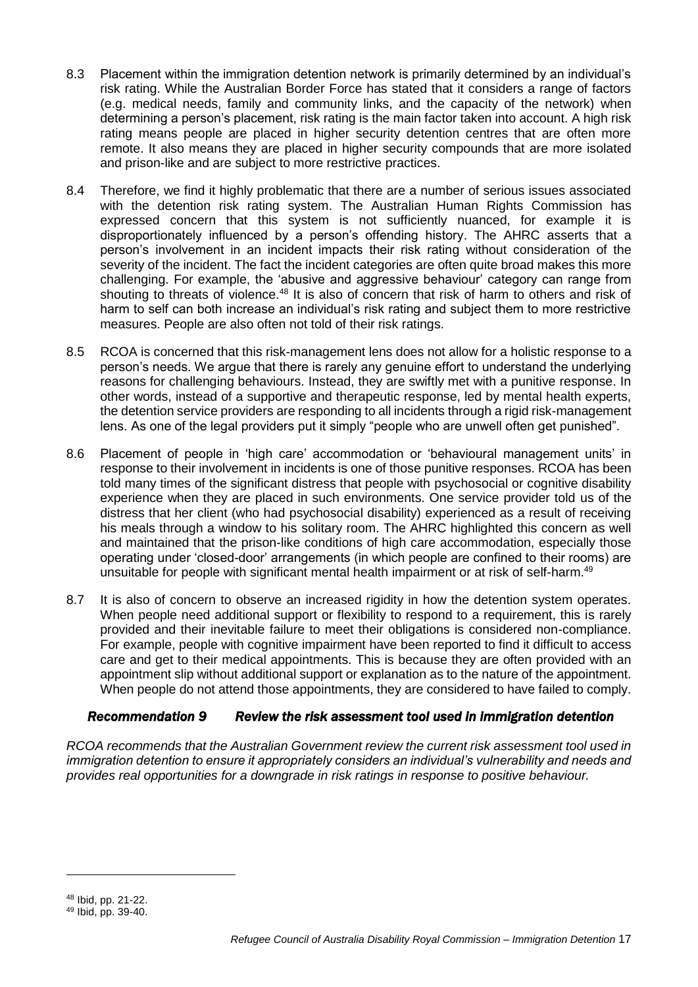- 8.3 Placement within the immigration detention network is primarily determined by an individual's risk rating. While the Australian Border Force has stated that it considers a range of factors (e.g. medical needs, family and community links, and the capacity of the network) when determining a person's placement, risk rating is the main factor taken into account. A high risk rating means people are placed in higher security detention centres that are often more remote. It also means they are placed in higher security compounds that are more isolated and prison-like and are subject to more restrictive practices.
- 8.4 Therefore, we find it highly problematic that there are a number of serious issues associated with the detention risk rating system. The Australian Human Rights Commission has expressed concern that this system is not sufficiently nuanced, for example it is disproportionately influenced by a person's offending history. The AHRC asserts that a person's involvement in an incident impacts their risk rating without consideration of the severity of the incident. The fact the incident categories are often quite broad makes this more challenging. For example, the 'abusive and aggressive behaviour' category can range from shouting to threats of violence.<sup>48</sup> It is also of concern that risk of harm to others and risk of harm to self can both increase an individual's risk rating and subject them to more restrictive measures. People are also often not told of their risk ratings.
- 8.5 RCOA is concerned that this risk-management lens does not allow for a holistic response to a person's needs. We argue that there is rarely any genuine effort to understand the underlying reasons for challenging behaviours. Instead, they are swiftly met with a punitive response. In other words, instead of a supportive and therapeutic response, led by mental health experts, the detention service providers are responding to all incidents through a rigid risk-management lens. As one of the legal providers put it simply "people who are unwell often get punished".
- 8.6 Placement of people in 'high care' accommodation or 'behavioural management units' in response to their involvement in incidents is one of those punitive responses. RCOA has been told many times of the significant distress that people with psychosocial or cognitive disability experience when they are placed in such environments. One service provider told us of the distress that her client (who had psychosocial disability) experienced as a result of receiving his meals through a window to his solitary room. The AHRC highlighted this concern as well and maintained that the prison-like conditions of high care accommodation, especially those operating under 'closed-door' arrangements (in which people are confined to their rooms) are unsuitable for people with significant mental health impairment or at risk of self-harm.<sup>49</sup>
- 8.7 It is also of concern to observe an increased rigidity in how the detention system operates. When people need additional support or flexibility to respond to a requirement, this is rarely provided and their inevitable failure to meet their obligations is considered non-compliance. For example, people with cognitive impairment have been reported to find it difficult to access care and get to their medical appointments. This is because they are often provided with an appointment slip without additional support or explanation as to the nature of the appointment. When people do not attend those appointments, they are considered to have failed to comply.

# *Recommendation 9 Review the risk assessment tool used in immigration detention*

*RCOA recommends that the Australian Government review the current risk assessment tool used in immigration detention to ensure it appropriately considers an individual's vulnerability and needs and provides real opportunities for a downgrade in risk ratings in response to positive behaviour.* 

<sup>48</sup> Ibid, pp. 21-22.

<sup>49</sup> Ibid, pp. 39-40.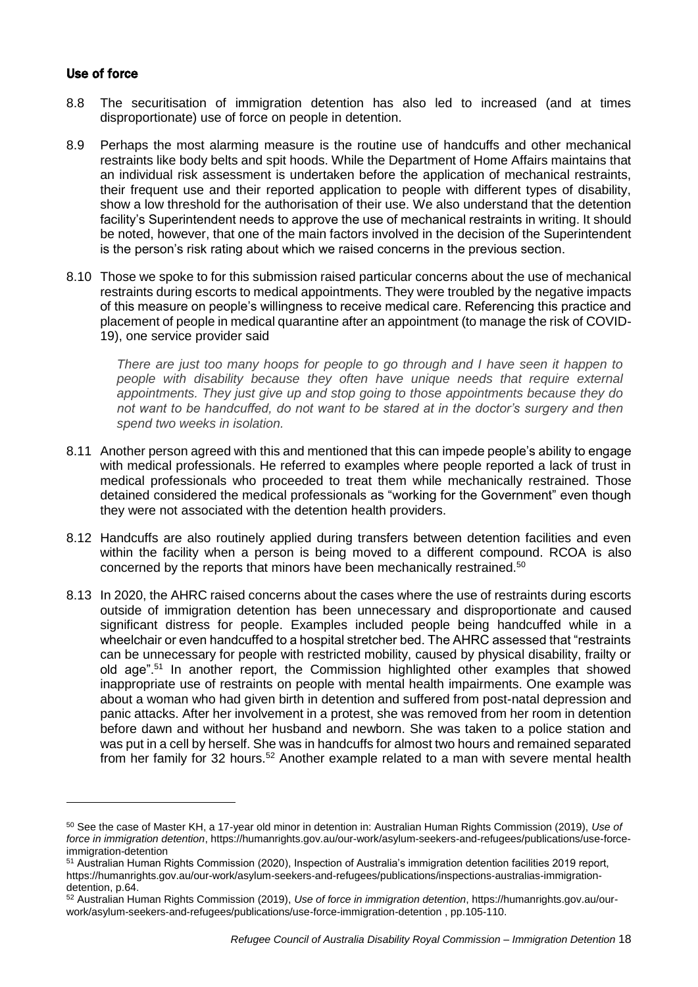## Use of force

-

- 8.8 The securitisation of immigration detention has also led to increased (and at times disproportionate) use of force on people in detention.
- 8.9 Perhaps the most alarming measure is the routine use of handcuffs and other mechanical restraints like body belts and spit hoods. While the Department of Home Affairs maintains that an individual risk assessment is undertaken before the application of mechanical restraints, their frequent use and their reported application to people with different types of disability, show a low threshold for the authorisation of their use. We also understand that the detention facility's Superintendent needs to approve the use of mechanical restraints in writing. It should be noted, however, that one of the main factors involved in the decision of the Superintendent is the person's risk rating about which we raised concerns in the previous section.
- 8.10 Those we spoke to for this submission raised particular concerns about the use of mechanical restraints during escorts to medical appointments. They were troubled by the negative impacts of this measure on people's willingness to receive medical care. Referencing this practice and placement of people in medical quarantine after an appointment (to manage the risk of COVID-19), one service provider said

*There are just too many hoops for people to go through and I have seen it happen to people with disability because they often have unique needs that require external appointments. They just give up and stop going to those appointments because they do not want to be handcuffed, do not want to be stared at in the doctor's surgery and then spend two weeks in isolation.* 

- 8.11 Another person agreed with this and mentioned that this can impede people's ability to engage with medical professionals. He referred to examples where people reported a lack of trust in medical professionals who proceeded to treat them while mechanically restrained. Those detained considered the medical professionals as "working for the Government" even though they were not associated with the detention health providers.
- 8.12 Handcuffs are also routinely applied during transfers between detention facilities and even within the facility when a person is being moved to a different compound. RCOA is also concerned by the reports that minors have been mechanically restrained.<sup>50</sup>
- 8.13 In 2020, the AHRC raised concerns about the cases where the use of restraints during escorts outside of immigration detention has been unnecessary and disproportionate and caused significant distress for people. Examples included people being handcuffed while in a wheelchair or even handcuffed to a hospital stretcher bed. The AHRC assessed that "restraints can be unnecessary for people with restricted mobility, caused by physical disability, frailty or old age".<sup>51</sup> In another report, the Commission highlighted other examples that showed inappropriate use of restraints on people with mental health impairments. One example was about a woman who had given birth in detention and suffered from post-natal depression and panic attacks. After her involvement in a protest, she was removed from her room in detention before dawn and without her husband and newborn. She was taken to a police station and was put in a cell by herself. She was in handcuffs for almost two hours and remained separated from her family for 32 hours.<sup>52</sup> Another example related to a man with severe mental health

<sup>50</sup> See the case of Master KH, a 17-year old minor in detention in: Australian Human Rights Commission (2019), *Use of force in immigration detention*, [https://humanrights.gov.au/our-work/asylum-seekers-and-refugees/publications/use-force](https://humanrights.gov.au/our-work/asylum-seekers-and-refugees/publications/use-force-immigration-detention)[immigration-detention](https://humanrights.gov.au/our-work/asylum-seekers-and-refugees/publications/use-force-immigration-detention)

<sup>51</sup> Australian Human Rights Commission (2020), Inspection of Australia's immigration detention facilities 2019 report, [https://humanrights.gov.au/our-work/asylum-seekers-and-refugees/publications/inspections-australias-immigration](https://humanrights.gov.au/our-work/asylum-seekers-and-refugees/publications/inspections-australias-immigration-detention)[detention,](https://humanrights.gov.au/our-work/asylum-seekers-and-refugees/publications/inspections-australias-immigration-detention) p.64.

<sup>52</sup> Australian Human Rights Commission (2019), *Use of force in immigration detention*, [https://humanrights.gov.au/our](https://humanrights.gov.au/our-work/asylum-seekers-and-refugees/publications/use-force-immigration-detention)[work/asylum-seekers-and-refugees/publications/use-force-immigration-detention](https://humanrights.gov.au/our-work/asylum-seekers-and-refugees/publications/use-force-immigration-detention) , pp.105-110.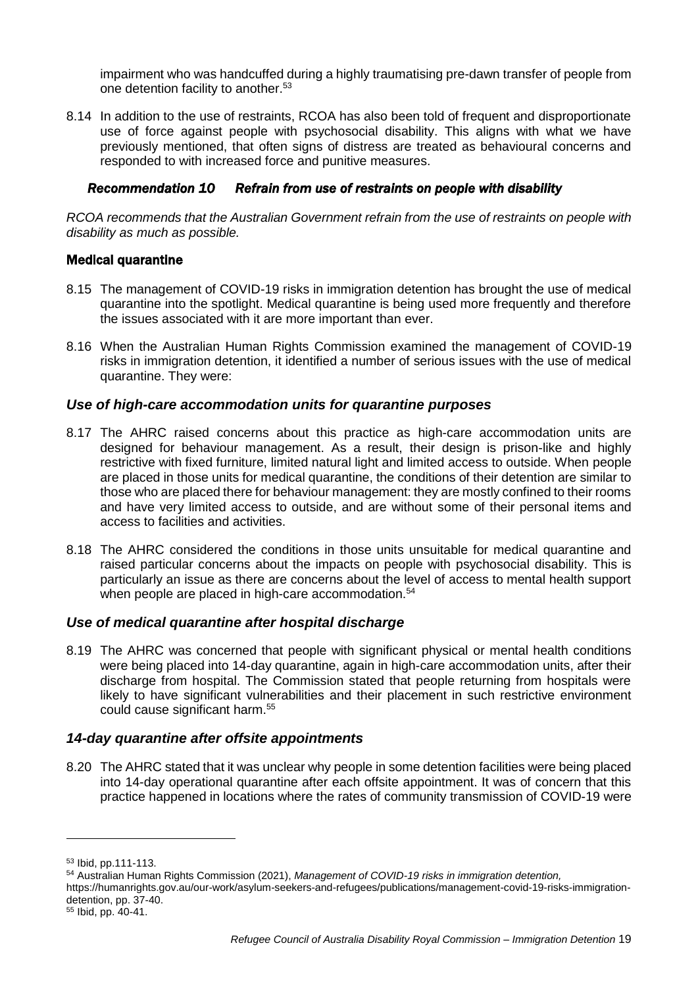impairment who was handcuffed during a highly traumatising pre-dawn transfer of people from one detention facility to another.<sup>53</sup>

8.14 In addition to the use of restraints, RCOA has also been told of frequent and disproportionate use of force against people with psychosocial disability. This aligns with what we have previously mentioned, that often signs of distress are treated as behavioural concerns and responded to with increased force and punitive measures.

## *Recommendation 10 Refrain from use of restraints on people with disability*

*RCOA recommends that the Australian Government refrain from the use of restraints on people with disability as much as possible.* 

## Medical quarantine

- 8.15 The management of COVID-19 risks in immigration detention has brought the use of medical quarantine into the spotlight. Medical quarantine is being used more frequently and therefore the issues associated with it are more important than ever.
- 8.16 When the Australian Human Rights Commission examined the management of COVID-19 risks in immigration detention, it identified a number of serious issues with the use of medical quarantine. They were:

## *Use of high-care accommodation units for quarantine purposes*

- 8.17 The AHRC raised concerns about this practice as high-care accommodation units are designed for behaviour management. As a result, their design is prison-like and highly restrictive with fixed furniture, limited natural light and limited access to outside. When people are placed in those units for medical quarantine, the conditions of their detention are similar to those who are placed there for behaviour management: they are mostly confined to their rooms and have very limited access to outside, and are without some of their personal items and access to facilities and activities.
- 8.18 The AHRC considered the conditions in those units unsuitable for medical quarantine and raised particular concerns about the impacts on people with psychosocial disability. This is particularly an issue as there are concerns about the level of access to mental health support when people are placed in high-care accommodation.<sup>54</sup>

## *Use of medical quarantine after hospital discharge*

8.19 The AHRC was concerned that people with significant physical or mental health conditions were being placed into 14-day quarantine, again in high-care accommodation units, after their discharge from hospital. The Commission stated that people returning from hospitals were likely to have significant vulnerabilities and their placement in such restrictive environment could cause significant harm.<sup>55</sup>

# *14-day quarantine after offsite appointments*

8.20 The AHRC stated that it was unclear why people in some detention facilities were being placed into 14-day operational quarantine after each offsite appointment. It was of concern that this practice happened in locations where the rates of community transmission of COVID-19 were

<sup>53</sup> Ibid, pp.111-113.

<sup>54</sup> Australian Human Rights Commission (2021), *Management of COVID-19 risks in immigration detention,* 

[https://humanrights.gov.au/our-work/asylum-seekers-and-refugees/publications/management-covid-19-risks-immigration](https://humanrights.gov.au/our-work/asylum-seekers-and-refugees/publications/management-covid-19-risks-immigration-detention)[detention,](https://humanrights.gov.au/our-work/asylum-seekers-and-refugees/publications/management-covid-19-risks-immigration-detention) pp. 37-40.

<sup>55</sup> Ibid, pp. 40-41.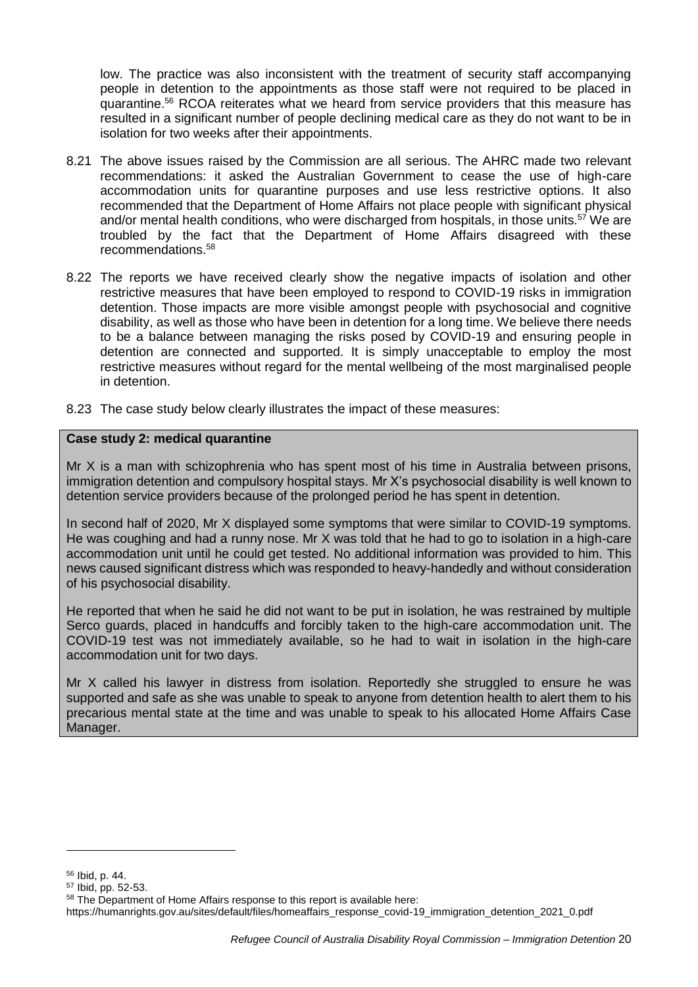low. The practice was also inconsistent with the treatment of security staff accompanying people in detention to the appointments as those staff were not required to be placed in quarantine.<sup>56</sup> RCOA reiterates what we heard from service providers that this measure has resulted in a significant number of people declining medical care as they do not want to be in isolation for two weeks after their appointments.

- 8.21 The above issues raised by the Commission are all serious. The AHRC made two relevant recommendations: it asked the Australian Government to cease the use of high-care accommodation units for quarantine purposes and use less restrictive options. It also recommended that the Department of Home Affairs not place people with significant physical and/or mental health conditions, who were discharged from hospitals, in those units.<sup>57</sup> We are troubled by the fact that the Department of Home Affairs disagreed with these recommendations.<sup>58</sup>
- 8.22 The reports we have received clearly show the negative impacts of isolation and other restrictive measures that have been employed to respond to COVID-19 risks in immigration detention. Those impacts are more visible amongst people with psychosocial and cognitive disability, as well as those who have been in detention for a long time. We believe there needs to be a balance between managing the risks posed by COVID-19 and ensuring people in detention are connected and supported. It is simply unacceptable to employ the most restrictive measures without regard for the mental wellbeing of the most marginalised people in detention.
- 8.23 The case study below clearly illustrates the impact of these measures:

#### **Case study 2: medical quarantine**

Mr X is a man with schizophrenia who has spent most of his time in Australia between prisons, immigration detention and compulsory hospital stays. Mr X's psychosocial disability is well known to detention service providers because of the prolonged period he has spent in detention.

In second half of 2020, Mr X displayed some symptoms that were similar to COVID-19 symptoms. He was coughing and had a runny nose. Mr X was told that he had to go to isolation in a high-care accommodation unit until he could get tested. No additional information was provided to him. This news caused significant distress which was responded to heavy-handedly and without consideration of his psychosocial disability.

He reported that when he said he did not want to be put in isolation, he was restrained by multiple Serco guards, placed in handcuffs and forcibly taken to the high-care accommodation unit. The COVID-19 test was not immediately available, so he had to wait in isolation in the high-care accommodation unit for two days.

Mr X called his lawyer in distress from isolation. Reportedly she struggled to ensure he was supported and safe as she was unable to speak to anyone from detention health to alert them to his precarious mental state at the time and was unable to speak to his allocated Home Affairs Case Manager.

<sup>56</sup> Ibid, p. 44.

<sup>57</sup> Ibid, pp. 52-53.

<sup>58</sup> The Department of Home Affairs response to this report is available here:

[https://humanrights.gov.au/sites/default/files/homeaffairs\\_response\\_covid-19\\_immigration\\_detention\\_2021\\_0.pdf](https://humanrights.gov.au/sites/default/files/homeaffairs_response_covid-19_immigration_detention_2021_0.pdf)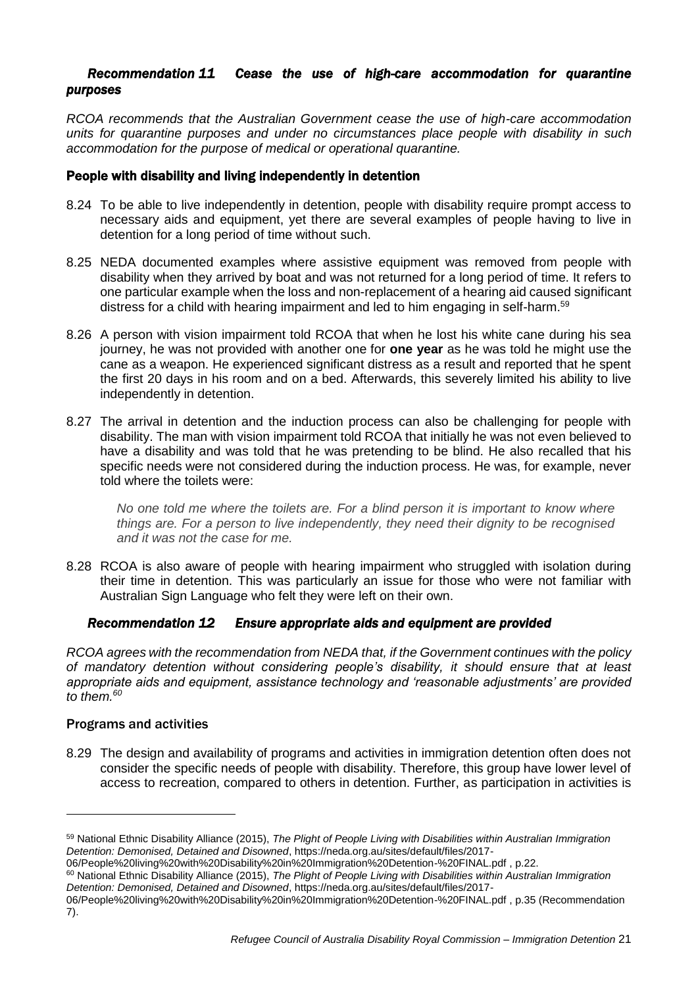## *Recommendation 11 Cease the use of high-care accommodation for quarantine purposes*

*RCOA recommends that the Australian Government cease the use of high-care accommodation units for quarantine purposes and under no circumstances place people with disability in such accommodation for the purpose of medical or operational quarantine.* 

## People with disability and living independently in detention

- 8.24 To be able to live independently in detention, people with disability require prompt access to necessary aids and equipment, yet there are several examples of people having to live in detention for a long period of time without such.
- 8.25 NEDA documented examples where assistive equipment was removed from people with disability when they arrived by boat and was not returned for a long period of time. It refers to one particular example when the loss and non-replacement of a hearing aid caused significant distress for a child with hearing impairment and led to him engaging in self-harm.<sup>59</sup>
- 8.26 A person with vision impairment told RCOA that when he lost his white cane during his sea journey, he was not provided with another one for **one year** as he was told he might use the cane as a weapon. He experienced significant distress as a result and reported that he spent the first 20 days in his room and on a bed. Afterwards, this severely limited his ability to live independently in detention.
- 8.27 The arrival in detention and the induction process can also be challenging for people with disability. The man with vision impairment told RCOA that initially he was not even believed to have a disability and was told that he was pretending to be blind. He also recalled that his specific needs were not considered during the induction process. He was, for example, never told where the toilets were:

*No one told me where the toilets are. For a blind person it is important to know where things are. For a person to live independently, they need their dignity to be recognised and it was not the case for me.* 

8.28 RCOA is also aware of people with hearing impairment who struggled with isolation during their time in detention. This was particularly an issue for those who were not familiar with Australian Sign Language who felt they were left on their own.

## *Recommendation 12 Ensure appropriate aids and equipment are provided*

*RCOA agrees with the recommendation from NEDA that, if the Government continues with the policy of mandatory detention without considering people's disability, it should ensure that at least appropriate aids and equipment, assistance technology and 'reasonable adjustments' are provided to them.<sup>60</sup>*

## Programs and activities

-

8.29 The design and availability of programs and activities in immigration detention often does not consider the specific needs of people with disability. Therefore, this group have lower level of access to recreation, compared to others in detention. Further, as participation in activities is

<sup>59</sup> National Ethnic Disability Alliance (2015), *The Plight of People Living with Disabilities within Australian Immigration Detention: Demonised, Detained and Disowned*, [https://neda.org.au/sites/default/files/2017-](https://neda.org.au/sites/default/files/2017-06/People%20living%20with%20Disability%20in%20Immigration%20Detention-%20FINAL.pdf)

[<sup>06/</sup>People%20living%20with%20Disability%20in%20Immigration%20Detention-%20FINAL.pdf](https://neda.org.au/sites/default/files/2017-06/People%20living%20with%20Disability%20in%20Immigration%20Detention-%20FINAL.pdf) , p.22.

<sup>60</sup> National Ethnic Disability Alliance (2015), *The Plight of People Living with Disabilities within Australian Immigration Detention: Demonised, Detained and Disowned*, [https://neda.org.au/sites/default/files/2017-](https://neda.org.au/sites/default/files/2017-06/People%20living%20with%20Disability%20in%20Immigration%20Detention-%20FINAL.pdf)

[<sup>06/</sup>People%20living%20with%20Disability%20in%20Immigration%20Detention-%20FINAL.pdf](https://neda.org.au/sites/default/files/2017-06/People%20living%20with%20Disability%20in%20Immigration%20Detention-%20FINAL.pdf) , p.35 (Recommendation 7).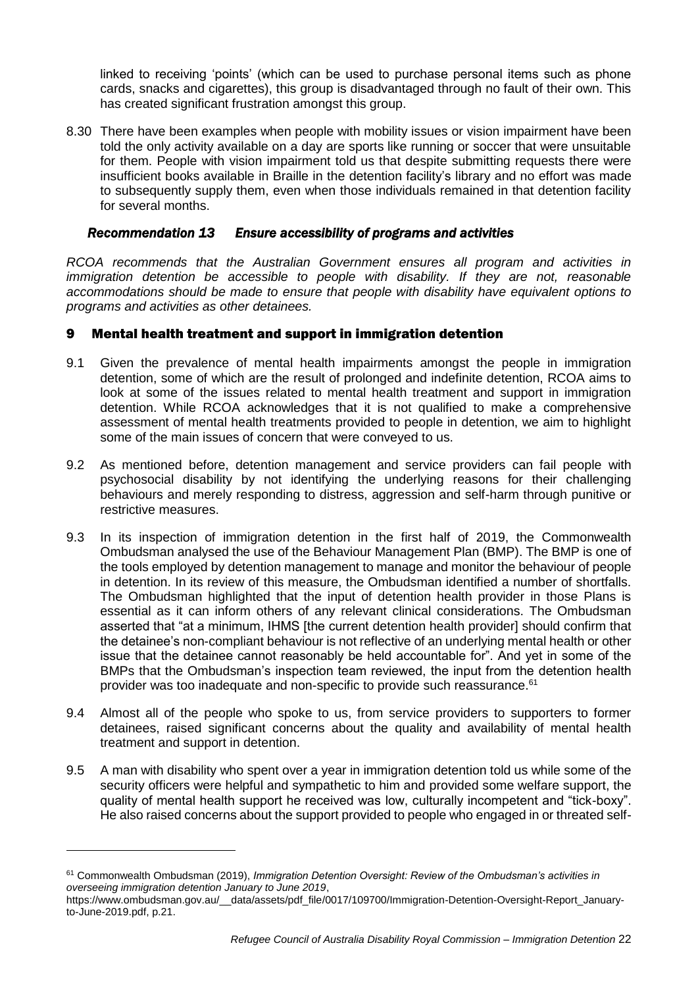linked to receiving 'points' (which can be used to purchase personal items such as phone cards, snacks and cigarettes), this group is disadvantaged through no fault of their own. This has created significant frustration amongst this group.

8.30 There have been examples when people with mobility issues or vision impairment have been told the only activity available on a day are sports like running or soccer that were unsuitable for them. People with vision impairment told us that despite submitting requests there were insufficient books available in Braille in the detention facility's library and no effort was made to subsequently supply them, even when those individuals remained in that detention facility for several months.

#### *Recommendation 13 Ensure accessibility of programs and activities*

*RCOA recommends that the Australian Government ensures all program and activities in immigration detention be accessible to people with disability. If they are not, reasonable accommodations should be made to ensure that people with disability have equivalent options to programs and activities as other detainees.*

## 9 Mental health treatment and support in immigration detention

- 9.1 Given the prevalence of mental health impairments amongst the people in immigration detention, some of which are the result of prolonged and indefinite detention, RCOA aims to look at some of the issues related to mental health treatment and support in immigration detention. While RCOA acknowledges that it is not qualified to make a comprehensive assessment of mental health treatments provided to people in detention, we aim to highlight some of the main issues of concern that were conveyed to us.
- 9.2 As mentioned before, detention management and service providers can fail people with psychosocial disability by not identifying the underlying reasons for their challenging behaviours and merely responding to distress, aggression and self-harm through punitive or restrictive measures.
- 9.3 In its inspection of immigration detention in the first half of 2019, the Commonwealth Ombudsman analysed the use of the Behaviour Management Plan (BMP). The BMP is one of the tools employed by detention management to manage and monitor the behaviour of people in detention. In its review of this measure, the Ombudsman identified a number of shortfalls. The Ombudsman highlighted that the input of detention health provider in those Plans is essential as it can inform others of any relevant clinical considerations. The Ombudsman asserted that "at a minimum, IHMS [the current detention health provider] should confirm that the detainee's non-compliant behaviour is not reflective of an underlying mental health or other issue that the detainee cannot reasonably be held accountable for". And yet in some of the BMPs that the Ombudsman's inspection team reviewed, the input from the detention health provider was too inadequate and non-specific to provide such reassurance.<sup>61</sup>
- 9.4 Almost all of the people who spoke to us, from service providers to supporters to former detainees, raised significant concerns about the quality and availability of mental health treatment and support in detention.
- 9.5 A man with disability who spent over a year in immigration detention told us while some of the security officers were helpful and sympathetic to him and provided some welfare support, the quality of mental health support he received was low, culturally incompetent and "tick-boxy". He also raised concerns about the support provided to people who engaged in or threated self-

<sup>61</sup> Commonwealth Ombudsman (2019), *Immigration Detention Oversight: Review of the Ombudsman's activities in overseeing immigration detention January to June 2019*,

[https://www.ombudsman.gov.au/\\_\\_data/assets/pdf\\_file/0017/109700/Immigration-Detention-Oversight-Report\\_January](https://www.ombudsman.gov.au/__data/assets/pdf_file/0017/109700/Immigration-Detention-Oversight-Report_January-to-June-2019.pdf)[to-June-2019.pdf,](https://www.ombudsman.gov.au/__data/assets/pdf_file/0017/109700/Immigration-Detention-Oversight-Report_January-to-June-2019.pdf) p.21.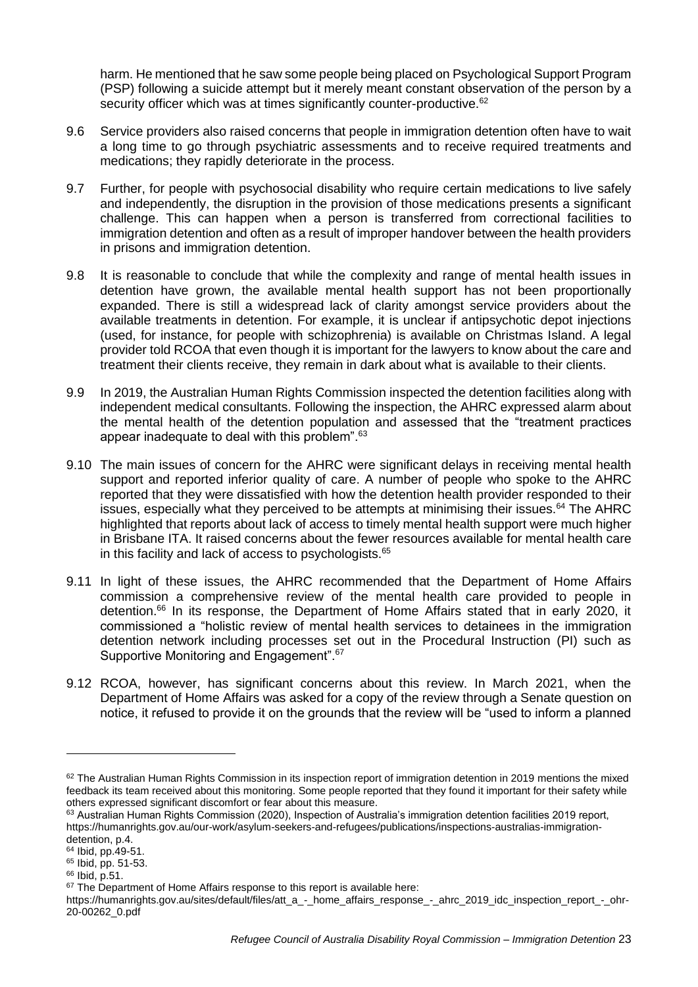harm. He mentioned that he saw some people being placed on Psychological Support Program (PSP) following a suicide attempt but it merely meant constant observation of the person by a security officer which was at times significantly counter-productive.<sup>62</sup>

- 9.6 Service providers also raised concerns that people in immigration detention often have to wait a long time to go through psychiatric assessments and to receive required treatments and medications; they rapidly deteriorate in the process.
- 9.7 Further, for people with psychosocial disability who require certain medications to live safely and independently, the disruption in the provision of those medications presents a significant challenge. This can happen when a person is transferred from correctional facilities to immigration detention and often as a result of improper handover between the health providers in prisons and immigration detention.
- 9.8 It is reasonable to conclude that while the complexity and range of mental health issues in detention have grown, the available mental health support has not been proportionally expanded. There is still a widespread lack of clarity amongst service providers about the available treatments in detention. For example, it is unclear if antipsychotic depot injections (used, for instance, for people with schizophrenia) is available on Christmas Island. A legal provider told RCOA that even though it is important for the lawyers to know about the care and treatment their clients receive, they remain in dark about what is available to their clients.
- 9.9 In 2019, the Australian Human Rights Commission inspected the detention facilities along with independent medical consultants. Following the inspection, the AHRC expressed alarm about the mental health of the detention population and assessed that the "treatment practices appear inadequate to deal with this problem".<sup>63</sup>
- 9.10 The main issues of concern for the AHRC were significant delays in receiving mental health support and reported inferior quality of care. A number of people who spoke to the AHRC reported that they were dissatisfied with how the detention health provider responded to their issues, especially what they perceived to be attempts at minimising their issues. $64$  The AHRC highlighted that reports about lack of access to timely mental health support were much higher in Brisbane ITA. It raised concerns about the fewer resources available for mental health care in this facility and lack of access to psychologists.<sup>65</sup>
- 9.11 In light of these issues, the AHRC recommended that the Department of Home Affairs commission a comprehensive review of the mental health care provided to people in detention.<sup>66</sup> In its response, the Department of Home Affairs stated that in early 2020, it commissioned a "holistic review of mental health services to detainees in the immigration detention network including processes set out in the Procedural Instruction (PI) such as Supportive Monitoring and Engagement".<sup>67</sup>
- 9.12 RCOA, however, has significant concerns about this review. In March 2021, when the Department of Home Affairs was asked for a copy of the review through a Senate question on notice, it refused to provide it on the grounds that the review will be "used to inform a planned

 $62$  The Australian Human Rights Commission in its [inspection report of immigration detention in 2019](https://humanrights.gov.au/our-work/asylum-seekers-and-refugees/publications/inspections-australias-immigration-detention) mentions the mixed feedback its team received about this monitoring. Some people reported that they found it important for their safety while others expressed significant discomfort or fear about this measure.

<sup>63</sup> Australian Human Rights Commission (2020), Inspection of Australia's immigration detention facilities 2019 report, [https://humanrights.gov.au/our-work/asylum-seekers-and-refugees/publications/inspections-australias-immigration](https://humanrights.gov.au/our-work/asylum-seekers-and-refugees/publications/inspections-australias-immigration-detention)[detention,](https://humanrights.gov.au/our-work/asylum-seekers-and-refugees/publications/inspections-australias-immigration-detention) p.4.

<sup>64</sup> Ibid, pp.49-51.

<sup>65</sup> Ibid, pp. 51-53.

<sup>66</sup> Ibid, p.51.

<sup>&</sup>lt;sup>67</sup> The Department of Home Affairs response to this report is available here:

[https://humanrights.gov.au/sites/default/files/att\\_a\\_-\\_home\\_affairs\\_response\\_-\\_ahrc\\_2019\\_idc\\_inspection\\_report\\_-\\_ohr-](https://humanrights.gov.au/sites/default/files/att_a_-_home_affairs_response_-_ahrc_2019_idc_inspection_report_-_ohr-20-00262_0.pdf)[20-00262\\_0.pdf](https://humanrights.gov.au/sites/default/files/att_a_-_home_affairs_response_-_ahrc_2019_idc_inspection_report_-_ohr-20-00262_0.pdf)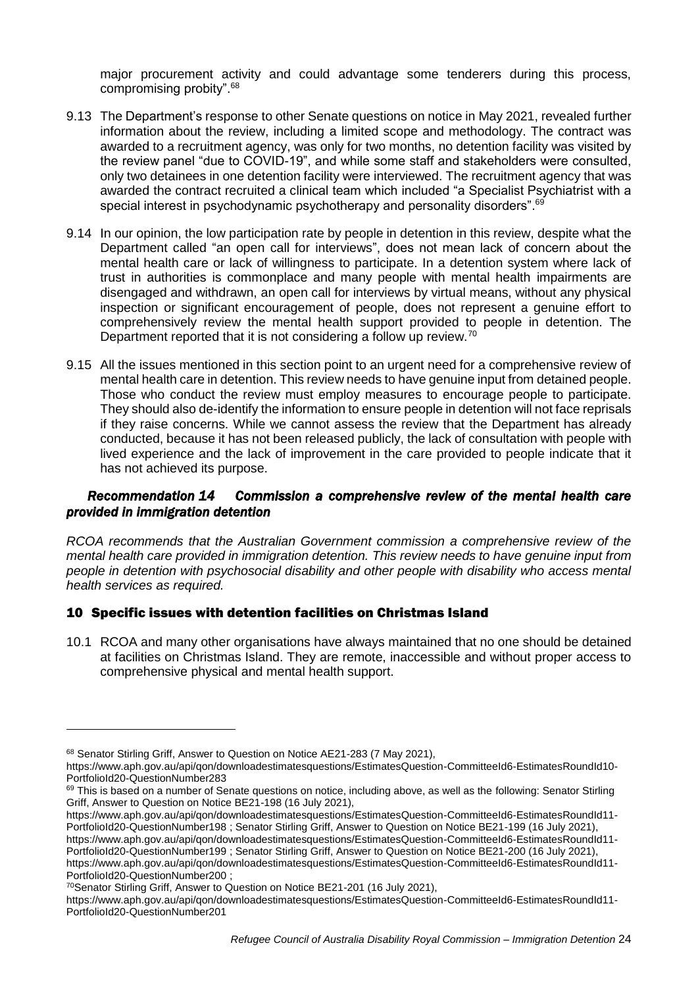major procurement activity and could advantage some tenderers during this process, compromising probity".<sup>68</sup>

- 9.13 The Department's response to other Senate questions on notice in May 2021, revealed further information about the review, including a limited scope and methodology. The contract was awarded to a recruitment agency, was only for two months, no detention facility was visited by the review panel "due to COVID-19", and while some staff and stakeholders were consulted, only two detainees in one detention facility were interviewed. The recruitment agency that was awarded the contract recruited a clinical team which included "a Specialist Psychiatrist with a special interest in psychodynamic psychotherapy and personality disorders".<sup>69</sup>
- 9.14 In our opinion, the low participation rate by people in detention in this review, despite what the Department called "an open call for interviews", does not mean lack of concern about the mental health care or lack of willingness to participate. In a detention system where lack of trust in authorities is commonplace and many people with mental health impairments are disengaged and withdrawn, an open call for interviews by virtual means, without any physical inspection or significant encouragement of people, does not represent a genuine effort to comprehensively review the mental health support provided to people in detention. The Department reported that it is not considering a follow up review.<sup>70</sup>
- 9.15 All the issues mentioned in this section point to an urgent need for a comprehensive review of mental health care in detention. This review needs to have genuine input from detained people. Those who conduct the review must employ measures to encourage people to participate. They should also de-identify the information to ensure people in detention will not face reprisals if they raise concerns. While we cannot assess the review that the Department has already conducted, because it has not been released publicly, the lack of consultation with people with lived experience and the lack of improvement in the care provided to people indicate that it has not achieved its purpose.

## *Recommendation 14 Commission a comprehensive review of the mental health care provided in immigration detention*

*RCOA recommends that the Australian Government commission a comprehensive review of the mental health care provided in immigration detention. This review needs to have genuine input from people in detention with psychosocial disability and other people with disability who access mental health services as required.*

## 10 Specific issues with detention facilities on Christmas Island

10.1 RCOA and many other organisations have always maintained that no one should be detained at facilities on Christmas Island. They are remote, inaccessible and without proper access to comprehensive physical and mental health support.

<sup>68</sup> Senator Stirling Griff, Answer to Question on Notice AE21-283 (7 May 2021),

[https://www.aph.gov.au/api/qon/downloadestimatesquestions/EstimatesQuestion-CommitteeId6-EstimatesRoundId10-](https://www.aph.gov.au/api/qon/downloadestimatesquestions/EstimatesQuestion-CommitteeId6-EstimatesRoundId10-PortfolioId20-QuestionNumber283) [PortfolioId20-QuestionNumber283](https://www.aph.gov.au/api/qon/downloadestimatesquestions/EstimatesQuestion-CommitteeId6-EstimatesRoundId10-PortfolioId20-QuestionNumber283)

<sup>69</sup> This is based on a number of Senate questions on notice, including above, as well as the following: Senator Stirling Griff, Answer to Question on Notice BE21-198 (16 July 2021),

[https://www.aph.gov.au/api/qon/downloadestimatesquestions/EstimatesQuestion-CommitteeId6-EstimatesRoundId11-](https://www.aph.gov.au/api/qon/downloadestimatesquestions/EstimatesQuestion-CommitteeId6-EstimatesRoundId11-PortfolioId20-QuestionNumber198) [PortfolioId20-QuestionNumber198](https://www.aph.gov.au/api/qon/downloadestimatesquestions/EstimatesQuestion-CommitteeId6-EstimatesRoundId11-PortfolioId20-QuestionNumber198) ; Senator Stirling Griff, Answer to Question on Notice BE21-199 (16 July 2021),

[https://www.aph.gov.au/api/qon/downloadestimatesquestions/EstimatesQuestion-CommitteeId6-EstimatesRoundId11-](https://www.aph.gov.au/api/qon/downloadestimatesquestions/EstimatesQuestion-CommitteeId6-EstimatesRoundId11-PortfolioId20-QuestionNumber199) [PortfolioId20-QuestionNumber199](https://www.aph.gov.au/api/qon/downloadestimatesquestions/EstimatesQuestion-CommitteeId6-EstimatesRoundId11-PortfolioId20-QuestionNumber199) ; Senator Stirling Griff, Answer to Question on Notice BE21-200 (16 July 2021),

[https://www.aph.gov.au/api/qon/downloadestimatesquestions/EstimatesQuestion-CommitteeId6-EstimatesRoundId11-](https://www.aph.gov.au/api/qon/downloadestimatesquestions/EstimatesQuestion-CommitteeId6-EstimatesRoundId11-PortfolioId20-QuestionNumber200) [PortfolioId20-QuestionNumber200](https://www.aph.gov.au/api/qon/downloadestimatesquestions/EstimatesQuestion-CommitteeId6-EstimatesRoundId11-PortfolioId20-QuestionNumber200) ;

<sup>70</sup>Senator Stirling Griff, Answer to Question on Notice BE21-201 (16 July 2021),

[https://www.aph.gov.au/api/qon/downloadestimatesquestions/EstimatesQuestion-CommitteeId6-EstimatesRoundId11-](https://www.aph.gov.au/api/qon/downloadestimatesquestions/EstimatesQuestion-CommitteeId6-EstimatesRoundId11-PortfolioId20-QuestionNumber201) [PortfolioId20-QuestionNumber201](https://www.aph.gov.au/api/qon/downloadestimatesquestions/EstimatesQuestion-CommitteeId6-EstimatesRoundId11-PortfolioId20-QuestionNumber201)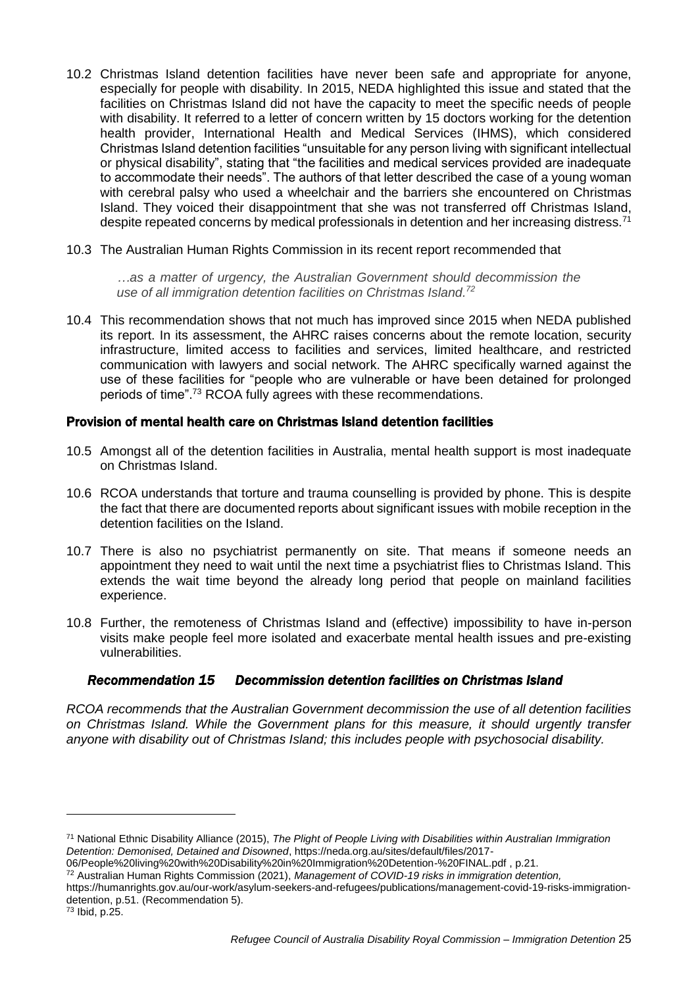- 10.2 Christmas Island detention facilities have never been safe and appropriate for anyone, especially for people with disability. In 2015, NEDA highlighted this issue and stated that the facilities on Christmas Island did not have the capacity to meet the specific needs of people with disability. It referred to a letter of concern written by 15 doctors working for the detention health provider, International Health and Medical Services (IHMS), which considered Christmas Island detention facilities "unsuitable for any person living with significant intellectual or physical disability", stating that "the facilities and medical services provided are inadequate to accommodate their needs". The authors of that letter described the case of a young woman with cerebral palsy who used a wheelchair and the barriers she encountered on Christmas Island. They voiced their disappointment that she was not transferred off Christmas Island, despite repeated concerns by medical professionals in detention and her increasing distress.<sup>71</sup>
- 10.3 The Australian Human Rights Commission in its recent report recommended that

*…as a matter of urgency, the Australian Government should decommission the use of all immigration detention facilities on Christmas Island. 72*

10.4 This recommendation shows that not much has improved since 2015 when NEDA published its report. In its assessment, the AHRC raises concerns about the remote location, security infrastructure, limited access to facilities and services, limited healthcare, and restricted communication with lawyers and social network. The AHRC specifically warned against the use of these facilities for "people who are vulnerable or have been detained for prolonged periods of time".<sup>73</sup> RCOA fully agrees with these recommendations.

## Provision of mental health care on Christmas Island detention facilities

- 10.5 Amongst all of the detention facilities in Australia, mental health support is most inadequate on Christmas Island.
- 10.6 RCOA understands that torture and trauma counselling is provided by phone. This is despite the fact that there are documented reports about significant issues with mobile reception in the detention facilities on the Island.
- 10.7 There is also no psychiatrist permanently on site. That means if someone needs an appointment they need to wait until the next time a psychiatrist flies to Christmas Island. This extends the wait time beyond the already long period that people on mainland facilities experience.
- 10.8 Further, the remoteness of Christmas Island and (effective) impossibility to have in-person visits make people feel more isolated and exacerbate mental health issues and pre-existing vulnerabilities.

## *Recommendation 15 Decommission detention facilities on Christmas Island*

*RCOA recommends that the Australian Government decommission the use of all detention facilities on Christmas Island. While the Government plans for this measure, it should urgently transfer anyone with disability out of Christmas Island; this includes people with psychosocial disability.* 

<sup>71</sup> National Ethnic Disability Alliance (2015), *The Plight of People Living with Disabilities within Australian Immigration Detention: Demonised, Detained and Disowned*, [https://neda.org.au/sites/default/files/2017-](https://neda.org.au/sites/default/files/2017-06/People%20living%20with%20Disability%20in%20Immigration%20Detention-%20FINAL.pdf)

[<sup>06/</sup>People%20living%20with%20Disability%20in%20Immigration%20Detention-%20FINAL.pdf](https://neda.org.au/sites/default/files/2017-06/People%20living%20with%20Disability%20in%20Immigration%20Detention-%20FINAL.pdf) , p.21.

<sup>72</sup> Australian Human Rights Commission (2021), *Management of COVID-19 risks in immigration detention,* 

[https://humanrights.gov.au/our-work/asylum-seekers-and-refugees/publications/management-covid-19-risks-immigration](https://humanrights.gov.au/our-work/asylum-seekers-and-refugees/publications/management-covid-19-risks-immigration-detention)[detention,](https://humanrights.gov.au/our-work/asylum-seekers-and-refugees/publications/management-covid-19-risks-immigration-detention) p.51. (Recommendation 5).

<sup>73</sup> Ibid, p.25.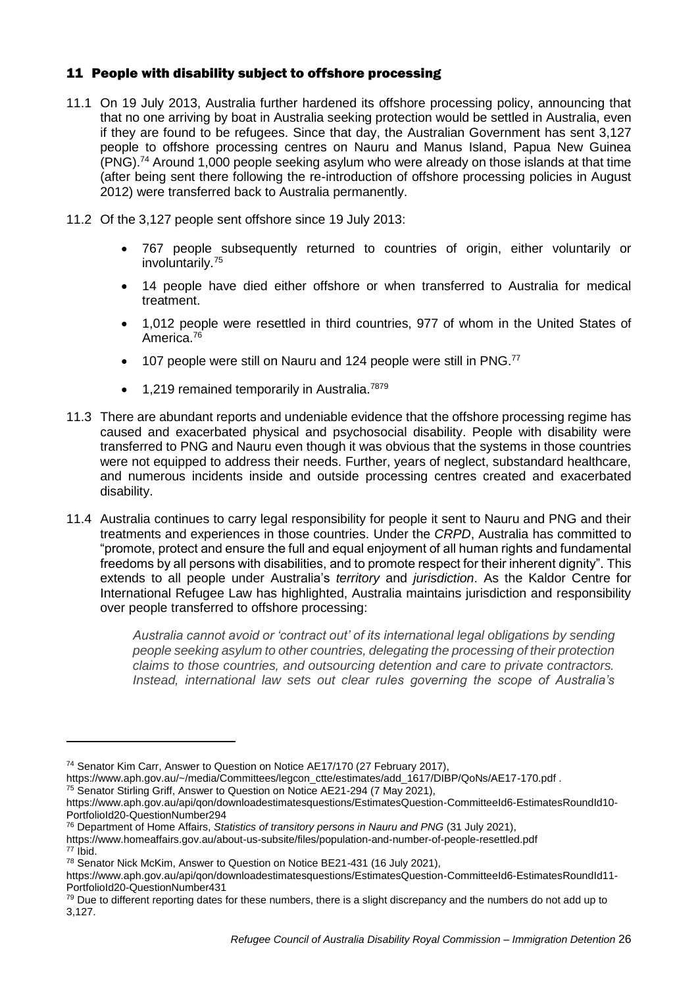# 11 People with disability subject to offshore processing

- 11.1 On 19 July 2013, Australia further hardened its offshore processing policy, announcing that that no one arriving by boat in Australia seeking protection would be settled in Australia, even if they are found to be refugees. Since that day, the Australian Government has sent 3,127 people to offshore processing centres on Nauru and Manus Island, Papua New Guinea (PNG).<sup>74</sup> Around 1,000 people seeking asylum who were already on those islands at that time (after being sent there following the re-introduction of offshore processing policies in August 2012) were transferred back to Australia permanently.
- 11.2 Of the 3,127 people sent offshore since 19 July 2013:
	- 767 people subsequently returned to countries of origin, either voluntarily or involuntarily.<sup>75</sup>
	- 14 people have died either offshore or when transferred to Australia for medical treatment.
	- 1,012 people were resettled in third countries, 977 of whom in the United States of America.<sup>76</sup>
	- 107 people were still on Nauru and 124 people were still in PNG.<sup>77</sup>
	- $\bullet$  1,219 remained temporarily in Australia.<sup>7879</sup>
- 11.3 There are abundant reports and undeniable evidence that the offshore processing regime has caused and exacerbated physical and psychosocial disability. People with disability were transferred to PNG and Nauru even though it was obvious that the systems in those countries were not equipped to address their needs. Further, years of neglect, substandard healthcare, and numerous incidents inside and outside processing centres created and exacerbated disability.
- 11.4 Australia continues to carry legal responsibility for people it sent to Nauru and PNG and their treatments and experiences in those countries. Under the *CRPD*, Australia has committed to "promote, protect and ensure the full and equal enjoyment of all human rights and fundamental freedoms by all persons with disabilities, and to promote respect for their inherent dignity". This extends to all people under Australia's *territory* and *jurisdiction*. As the Kaldor Centre for International Refugee Law has highlighted, Australia maintains jurisdiction and responsibility over people transferred to offshore processing:

*Australia cannot avoid or 'contract out' of its international legal obligations by sending people seeking asylum to other countries, delegating the processing of their protection claims to those countries, and outsourcing detention and care to private contractors. Instead, international law sets out clear rules governing the scope of Australia's* 

<sup>74</sup> Senator Kim Carr, Answer to Question on Notice AE17/170 (27 February 2017),

[https://www.aph.gov.au/~/media/Committees/legcon\\_ctte/estimates/add\\_1617/DIBP/QoNs/AE17-170.pdf](https://www.aph.gov.au/~/media/Committees/legcon_ctte/estimates/add_1617/DIBP/QoNs/AE17-170.pdf) .

<sup>&</sup>lt;sup>75</sup> Senator Stirling Griff, Answer to Question on Notice AE21-294 (7 May 2021),

[https://www.aph.gov.au/api/qon/downloadestimatesquestions/EstimatesQuestion-CommitteeId6-EstimatesRoundId10-](https://www.aph.gov.au/api/qon/downloadestimatesquestions/EstimatesQuestion-CommitteeId6-EstimatesRoundId10-PortfolioId20-QuestionNumber294) [PortfolioId20-QuestionNumber294](https://www.aph.gov.au/api/qon/downloadestimatesquestions/EstimatesQuestion-CommitteeId6-EstimatesRoundId10-PortfolioId20-QuestionNumber294)

<sup>76</sup> Department of Home Affairs, *Statistics of transitory persons in Nauru and PNG* (31 July 2021),

<https://www.homeaffairs.gov.au/about-us-subsite/files/population-and-number-of-people-resettled.pdf> <sup>77</sup> Ibid.

<sup>78</sup> Senator Nick McKim, Answer to Question on Notice BE21-431 (16 July 2021),

[https://www.aph.gov.au/api/qon/downloadestimatesquestions/EstimatesQuestion-CommitteeId6-EstimatesRoundId11-](https://www.aph.gov.au/api/qon/downloadestimatesquestions/EstimatesQuestion-CommitteeId6-EstimatesRoundId11-PortfolioId20-QuestionNumber431) [PortfolioId20-QuestionNumber431](https://www.aph.gov.au/api/qon/downloadestimatesquestions/EstimatesQuestion-CommitteeId6-EstimatesRoundId11-PortfolioId20-QuestionNumber431)

<sup>79</sup> Due to different reporting dates for these numbers, there is a slight discrepancy and the numbers do not add up to 3,127.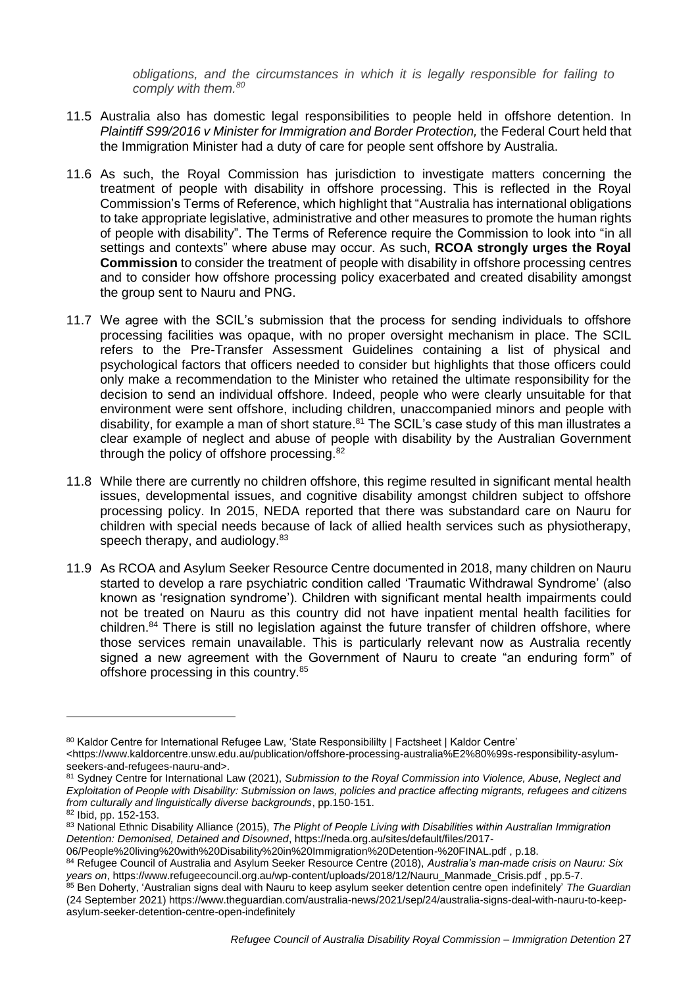*obligations, and the circumstances in which it is legally responsible for failing to comply with them.<sup>80</sup>*

- 11.5 Australia also has domestic legal responsibilities to people held in offshore detention. In *Plaintiff S99/2016 v Minister for Immigration and Border Protection,* the Federal Court held that the Immigration Minister had a duty of care for people sent offshore by Australia.
- 11.6 As such, the Royal Commission has jurisdiction to investigate matters concerning the treatment of people with disability in offshore processing. This is reflected in the Royal Commission's Terms of Reference, which highlight that "Australia has international obligations to take appropriate legislative, administrative and other measures to promote the human rights of people with disability". The Terms of Reference require the Commission to look into "in all settings and contexts" where abuse may occur. As such, **RCOA strongly urges the Royal Commission** to consider the treatment of people with disability in offshore processing centres and to consider how offshore processing policy exacerbated and created disability amongst the group sent to Nauru and PNG.
- 11.7 We agree with the SCIL's submission that the process for sending individuals to offshore processing facilities was opaque, with no proper oversight mechanism in place. The SCIL refers to the Pre-Transfer Assessment Guidelines containing a list of physical and psychological factors that officers needed to consider but highlights that those officers could only make a recommendation to the Minister who retained the ultimate responsibility for the decision to send an individual offshore. Indeed, people who were clearly unsuitable for that environment were sent offshore, including children, unaccompanied minors and people with disability, for example a man of short stature.<sup>81</sup> The SCIL's case study of this man illustrates a clear example of neglect and abuse of people with disability by the Australian Government through the policy of offshore processing.<sup>82</sup>
- 11.8 While there are currently no children offshore, this regime resulted in significant mental health issues, developmental issues, and cognitive disability amongst children subject to offshore processing policy. In 2015, NEDA reported that there was substandard care on Nauru for children with special needs because of lack of allied health services such as physiotherapy, speech therapy, and audiology.<sup>83</sup>
- 11.9 As RCOA and Asylum Seeker Resource Centre documented in 2018, many children on Nauru started to develop a rare psychiatric condition called 'Traumatic Withdrawal Syndrome' (also known as 'resignation syndrome'). Children with significant mental health impairments could not be treated on Nauru as this country did not have inpatient mental health facilities for children.<sup>84</sup> There is still no legislation against the future transfer of children offshore, where those services remain unavailable. This is particularly relevant now as Australia recently signed a new agreement with the Government of Nauru to create "an enduring form" of offshore processing in this country.<sup>85</sup>

<sup>80</sup> Kaldor Centre for International Refugee Law, 'State Responsibililty | Factsheet | Kaldor Centre'

<sup>&</sup>lt;https://www.kaldorcentre.unsw.edu.au/publication/offshore-processing-australia%E2%80%99s-responsibility-asylumseekers-and-refugees-nauru-and>.

<sup>81</sup> Sydney Centre for International Law (2021), *Submission to the Royal Commission into Violence, Abuse, Neglect and Exploitation of People with Disability: Submission on laws, policies and practice affecting migrants, refugees and citizens from culturally and linguistically diverse backgrounds*, pp.150-151.

<sup>82</sup> Ibid, pp. 152-153.

<sup>83</sup> National Ethnic Disability Alliance (2015), *The Plight of People Living with Disabilities within Australian Immigration Detention: Demonised, Detained and Disowned*, [https://neda.org.au/sites/default/files/2017-](https://neda.org.au/sites/default/files/2017-06/People%20living%20with%20Disability%20in%20Immigration%20Detention-%20FINAL.pdf)

[<sup>06/</sup>People%20living%20with%20Disability%20in%20Immigration%20Detention-%20FINAL.pdf](https://neda.org.au/sites/default/files/2017-06/People%20living%20with%20Disability%20in%20Immigration%20Detention-%20FINAL.pdf) , p.18.

<sup>84</sup> Refugee Council of Australia and Asylum Seeker Resource Centre (2018), *Australia's man-made crisis on Nauru: Six years on*, [https://www.refugeecouncil.org.au/wp-content/uploads/2018/12/Nauru\\_Manmade\\_Crisis.pdf](https://www.refugeecouncil.org.au/wp-content/uploads/2018/12/Nauru_Manmade_Crisis.pdf) , pp.5-7.

<sup>85</sup> Ben Doherty, 'Australian signs deal with Nauru to keep asylum seeker detention centre open indefinitely' *The Guardian* (24 September 2021) [https://www.theguardian.com/australia-news/2021/sep/24/australia-signs-deal-with-nauru-to-keep](https://www.theguardian.com/australia-news/2021/sep/24/australia-signs-deal-with-nauru-to-keep-asylum-seeker-detention-centre-open-indefinitely)[asylum-seeker-detention-centre-open-indefinitely](https://www.theguardian.com/australia-news/2021/sep/24/australia-signs-deal-with-nauru-to-keep-asylum-seeker-detention-centre-open-indefinitely)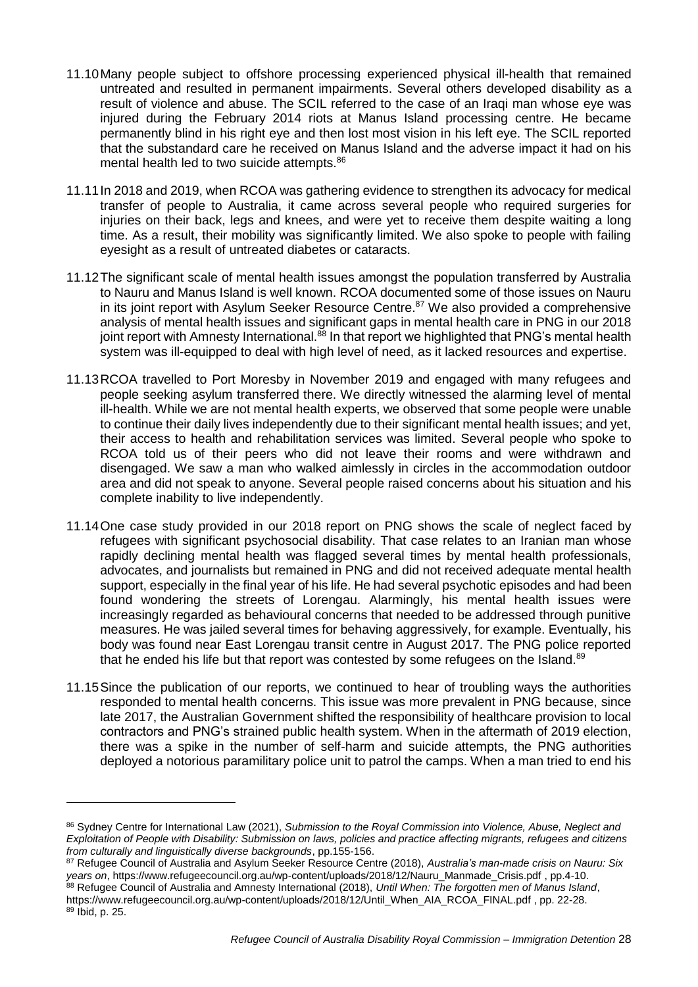- 11.10Many people subject to offshore processing experienced physical ill-health that remained untreated and resulted in permanent impairments. Several others developed disability as a result of violence and abuse. The SCIL referred to the case of an Iraqi man whose eye was injured during the February 2014 riots at Manus Island processing centre. He became permanently blind in his right eye and then lost most vision in his left eye. The SCIL reported that the substandard care he received on Manus Island and the adverse impact it had on his mental health led to two suicide attempts.<sup>86</sup>
- 11.11In 2018 and 2019, when RCOA was gathering evidence to strengthen its advocacy for medical transfer of people to Australia, it came across several people who required surgeries for injuries on their back, legs and knees, and were yet to receive them despite waiting a long time. As a result, their mobility was significantly limited. We also spoke to people with failing eyesight as a result of untreated diabetes or cataracts.
- 11.12The significant scale of mental health issues amongst the population transferred by Australia to Nauru and Manus Island is well known. RCOA documented some of those issues on Nauru in its joint report with Asylum Seeker Resource Centre. $87$  We also provided a comprehensive analysis of mental health issues and significant gaps in mental health care in PNG in our 2018 joint report with Amnesty International.<sup>88</sup> In that report we highlighted that PNG's mental health system was ill-equipped to deal with high level of need, as it lacked resources and expertise.
- 11.13RCOA travelled to Port Moresby in November 2019 and engaged with many refugees and people seeking asylum transferred there. We directly witnessed the alarming level of mental ill-health. While we are not mental health experts, we observed that some people were unable to continue their daily lives independently due to their significant mental health issues; and yet, their access to health and rehabilitation services was limited. Several people who spoke to RCOA told us of their peers who did not leave their rooms and were withdrawn and disengaged. We saw a man who walked aimlessly in circles in the accommodation outdoor area and did not speak to anyone. Several people raised concerns about his situation and his complete inability to live independently.
- 11.14One case study provided in our 2018 report on PNG shows the scale of neglect faced by refugees with significant psychosocial disability. That case relates to an Iranian man whose rapidly declining mental health was flagged several times by mental health professionals, advocates, and journalists but remained in PNG and did not received adequate mental health support, especially in the final year of his life. He had several psychotic episodes and had been found wondering the streets of Lorengau. Alarmingly, his mental health issues were increasingly regarded as behavioural concerns that needed to be addressed through punitive measures. He was jailed several times for behaving aggressively, for example. Eventually, his body was found near East Lorengau transit centre in August 2017. The PNG police reported that he ended his life but that report was contested by some refugees on the Island. $89$
- 11.15Since the publication of our reports, we continued to hear of troubling ways the authorities responded to mental health concerns. This issue was more prevalent in PNG because, since late 2017, the Australian Government shifted the responsibility of healthcare provision to local contractors and PNG's strained public health system. When in the aftermath of 2019 election, there was a spike in the number of self-harm and suicide attempts, the PNG authorities deployed a notorious paramilitary police unit to patrol the camps. When a man tried to end his

<sup>86</sup> Sydney Centre for International Law (2021), *Submission to the Royal Commission into Violence, Abuse, Neglect and Exploitation of People with Disability: Submission on laws, policies and practice affecting migrants, refugees and citizens from culturally and linguistically diverse backgrounds*, pp.155-156.

<sup>87</sup> Refugee Council of Australia and Asylum Seeker Resource Centre (2018), *Australia's man-made crisis on Nauru: Six years on*, [https://www.refugeecouncil.org.au/wp-content/uploads/2018/12/Nauru\\_Manmade\\_Crisis.pdf](https://www.refugeecouncil.org.au/wp-content/uploads/2018/12/Nauru_Manmade_Crisis.pdf) , pp.4-10. <sup>88</sup> Refugee Council of Australia and Amnesty International (2018), *Until When: The forgotten men of Manus Island*, [https://www.refugeecouncil.org.au/wp-content/uploads/2018/12/Until\\_When\\_AIA\\_RCOA\\_FINAL.pdf](https://www.refugeecouncil.org.au/wp-content/uploads/2018/12/Until_When_AIA_RCOA_FINAL.pdf) , pp. 22-28. <sup>89</sup> Ibid, p. 25.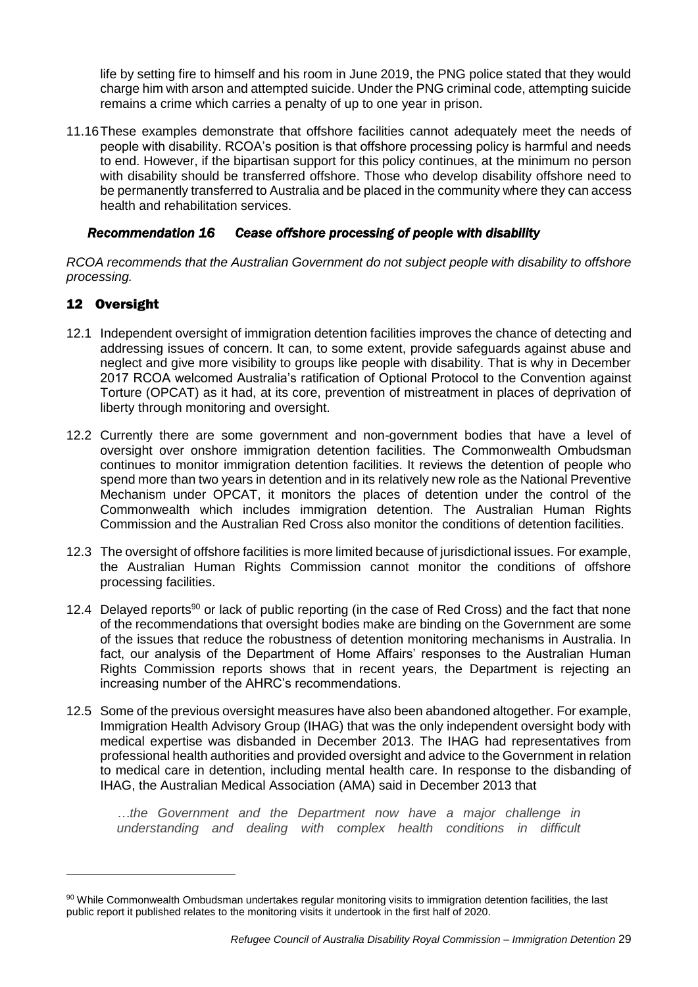life by setting fire to himself and his room in June 2019, the PNG police stated that they would charge him with arson and attempted suicide. Under the PNG criminal code, attempting suicide remains a crime which carries a penalty of up to one year in prison.

11.16These examples demonstrate that offshore facilities cannot adequately meet the needs of people with disability. RCOA's position is that offshore processing policy is harmful and needs to end. However, if the bipartisan support for this policy continues, at the minimum no person with disability should be transferred offshore. Those who develop disability offshore need to be permanently transferred to Australia and be placed in the community where they can access health and rehabilitation services.

## *Recommendation 16 Cease offshore processing of people with disability*

*RCOA recommends that the Australian Government do not subject people with disability to offshore processing.* 

## 12 Oversight

-

- 12.1 Independent oversight of immigration detention facilities improves the chance of detecting and addressing issues of concern. It can, to some extent, provide safeguards against abuse and neglect and give more visibility to groups like people with disability. That is why in December 2017 RCOA welcomed Australia's ratification of Optional Protocol to the Convention against Torture (OPCAT) as it had, at its core, prevention of mistreatment in places of deprivation of liberty through monitoring and oversight.
- 12.2 Currently there are some government and non-government bodies that have a level of oversight over onshore immigration detention facilities. The Commonwealth Ombudsman continues to monitor immigration detention facilities. It reviews the detention of people who spend more than two years in detention and in its relatively new role as the National Preventive Mechanism under OPCAT, it monitors the places of detention under the control of the Commonwealth which includes immigration detention. The Australian Human Rights Commission and the Australian Red Cross also monitor the conditions of detention facilities.
- 12.3 The oversight of offshore facilities is more limited because of jurisdictional issues. For example, the Australian Human Rights Commission cannot monitor the conditions of offshore processing facilities.
- 12.4 Delayed reports<sup>90</sup> or lack of public reporting (in the case of Red Cross) and the fact that none of the recommendations that oversight bodies make are binding on the Government are some of the issues that reduce the robustness of detention monitoring mechanisms in Australia. In fact, our analysis of the Department of Home Affairs' responses to the Australian Human Rights Commission reports shows that in recent years, the Department is rejecting an increasing number of the AHRC's recommendations.
- 12.5 Some of the previous oversight measures have also been abandoned altogether. For example, Immigration Health Advisory Group (IHAG) that was the only independent oversight body with medical expertise was disbanded in December 2013. The IHAG had representatives from professional health authorities and provided oversight and advice to the Government in relation to medical care in detention, including mental health care. In response to the disbanding of IHAG, the Australian Medical Association (AMA) said in December 2013 that

*…the Government and the Department now have a major challenge in understanding and dealing with complex health conditions in difficult* 

<sup>90</sup> While Commonwealth Ombudsman undertakes regular monitoring visits to immigration detention facilities, the last public report it published relates to the monitoring visits it undertook in the first half of 2020.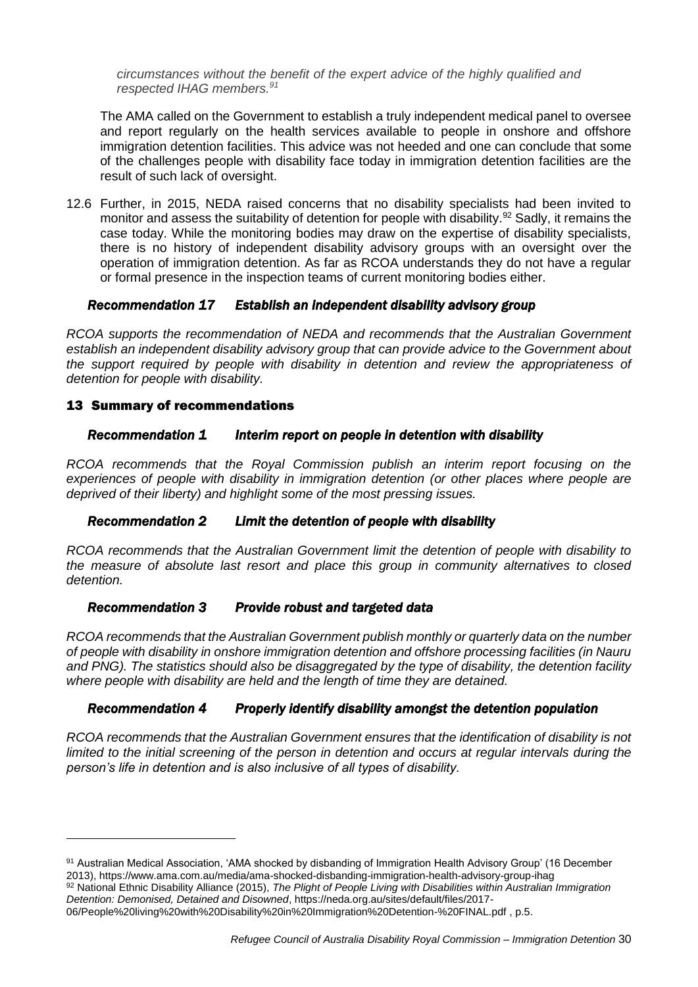*circumstances without the benefit of the expert advice of the highly qualified and respected IHAG members. 91*

The AMA called on the Government to establish a truly independent medical panel to oversee and report regularly on the health services available to people in onshore and offshore immigration detention facilities. This advice was not heeded and one can conclude that some of the challenges people with disability face today in immigration detention facilities are the result of such lack of oversight.

12.6 Further, in 2015, NEDA raised concerns that no disability specialists had been invited to monitor and assess the suitability of detention for people with disability.<sup>92</sup> Sadly, it remains the case today. While the monitoring bodies may draw on the expertise of disability specialists, there is no history of independent disability advisory groups with an oversight over the operation of immigration detention. As far as RCOA understands they do not have a regular or formal presence in the inspection teams of current monitoring bodies either.

## *Recommendation 17 Establish an independent disability advisory group*

*RCOA supports the recommendation of NEDA and recommends that the Australian Government establish an independent disability advisory group that can provide advice to the Government about the support required by people with disability in detention and review the appropriateness of detention for people with disability.* 

## 13 Summary of recommendations

-

## *Recommendation 1 Interim report on people in detention with disability*

*RCOA recommends that the Royal Commission publish an interim report focusing on the experiences of people with disability in immigration detention (or other places where people are deprived of their liberty) and highlight some of the most pressing issues.*

## *Recommendation 2 Limit the detention of people with disability*

*RCOA recommends that the Australian Government limit the detention of people with disability to the measure of absolute last resort and place this group in community alternatives to closed detention.* 

## *Recommendation 3 Provide robust and targeted data*

*RCOA recommends that the Australian Government publish monthly or quarterly data on the number of people with disability in onshore immigration detention and offshore processing facilities (in Nauru and PNG). The statistics should also be disaggregated by the type of disability, the detention facility where people with disability are held and the length of time they are detained.* 

## *Recommendation 4 Properly identify disability amongst the detention population*

*RCOA recommends that the Australian Government ensures that the identification of disability is not limited to the initial screening of the person in detention and occurs at regular intervals during the person's life in detention and is also inclusive of all types of disability.* 

<sup>91</sup> Australian Medical Association, 'AMA shocked by disbanding of Immigration Health Advisory Group' (16 December 2013)[, https://www.ama.com.au/media/ama-shocked-disbanding-immigration-health-advisory-group-ihag](https://www.ama.com.au/media/ama-shocked-disbanding-immigration-health-advisory-group-ihag) 92 National Ethnic Disability Alliance (2015), *The Plight of People Living with Disabilities within Australian Immigration* 

*Detention: Demonised, Detained and Disowned*, [https://neda.org.au/sites/default/files/2017-](https://neda.org.au/sites/default/files/2017-06/People%20living%20with%20Disability%20in%20Immigration%20Detention-%20FINAL.pdf) [06/People%20living%20with%20Disability%20in%20Immigration%20Detention-%20FINAL.pdf](https://neda.org.au/sites/default/files/2017-06/People%20living%20with%20Disability%20in%20Immigration%20Detention-%20FINAL.pdf) , p.5.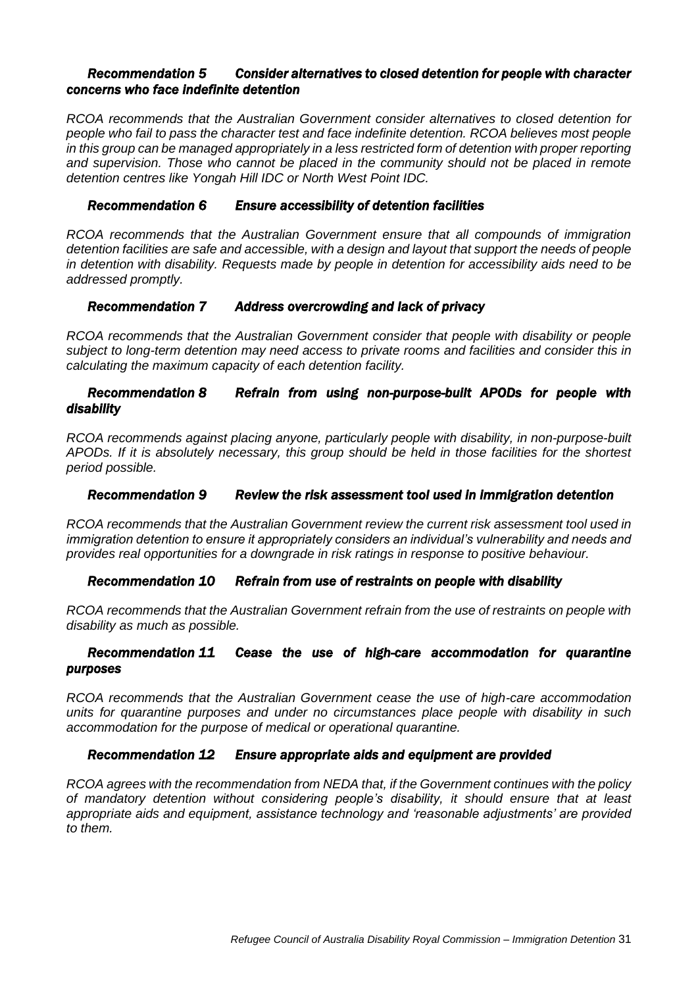#### *Recommendation 5 Consider alternatives to closed detention for people with character concerns who face indefinite detention*

*RCOA recommends that the Australian Government consider alternatives to closed detention for people who fail to pass the character test and face indefinite detention. RCOA believes most people in this group can be managed appropriately in a less restricted form of detention with proper reporting and supervision. Those who cannot be placed in the community should not be placed in remote detention centres like Yongah Hill IDC or North West Point IDC.* 

## *Recommendation 6 Ensure accessibility of detention facilities*

*RCOA recommends that the Australian Government ensure that all compounds of immigration detention facilities are safe and accessible, with a design and layout that support the needs of people in detention with disability. Requests made by people in detention for accessibility aids need to be addressed promptly.* 

## *Recommendation 7 Address overcrowding and lack of privacy*

*RCOA recommends that the Australian Government consider that people with disability or people subject to long-term detention may need access to private rooms and facilities and consider this in calculating the maximum capacity of each detention facility.* 

## *Recommendation 8 Refrain from using non-purpose-built APODs for people with disability*

*RCOA recommends against placing anyone, particularly people with disability, in non-purpose-built APODs. If it is absolutely necessary, this group should be held in those facilities for the shortest period possible.* 

## *Recommendation 9 Review the risk assessment tool used in immigration detention*

*RCOA recommends that the Australian Government review the current risk assessment tool used in immigration detention to ensure it appropriately considers an individual's vulnerability and needs and provides real opportunities for a downgrade in risk ratings in response to positive behaviour.* 

## *Recommendation 10 Refrain from use of restraints on people with disability*

*RCOA recommends that the Australian Government refrain from the use of restraints on people with disability as much as possible.* 

## *Recommendation 11 Cease the use of high-care accommodation for quarantine purposes*

*RCOA recommends that the Australian Government cease the use of high-care accommodation units for quarantine purposes and under no circumstances place people with disability in such accommodation for the purpose of medical or operational quarantine.*

## *Recommendation 12 Ensure appropriate aids and equipment are provided*

*RCOA agrees with the recommendation from NEDA that, if the Government continues with the policy of mandatory detention without considering people's disability, it should ensure that at least appropriate aids and equipment, assistance technology and 'reasonable adjustments' are provided to them.*